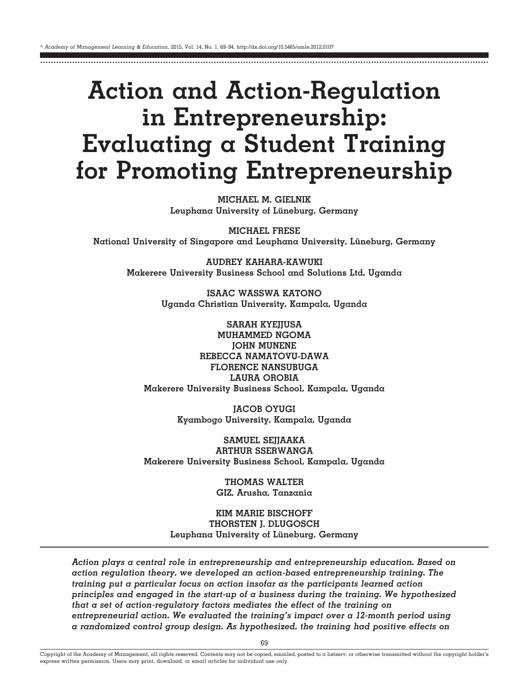# **Action and Action-Regulation in Entrepreneurship: Evaluating a Student Training for Promoting Entrepreneurship**

........................................................................................................................................................................

**MICHAEL M. GIELNIK Leuphana University of Lüneburg, Germany**

**MICHAEL FRESE National University of Singapore and Leuphana University, Lüneburg, Germany**

**AUDREY KAHARA-KAWUKI Makerere University Business School and Solutions Ltd, Uganda**

> **ISAAC WASSWA KATONO Uganda Christian University, Kampala, Uganda**

**SARAH KYEJJUSA MUHAMMED NGOMA JOHN MUNENE REBECCA NAMATOVU-DAWA FLORENCE NANSUBUGA LAURA OROBIA Makerere University Business School, Kampala, Uganda**

> **JACOB OYUGI Kyambogo University, Kampala, Uganda**

**SAMUEL SEJJAAKA ARTHUR SSERWANGA Makerere University Business School, Kampala, Uganda**

> **THOMAS WALTER GIZ, Arusha, Tanzania**

**KIM MARIE BISCHOFF THORSTEN J. DLUGOSCH Leuphana University of Lüneburg, Germany**

*Action plays a central role in entrepreneurship and entrepreneurship education. Based on action regulation theory, we developed an action-based entrepreneurship training. The training put a particular focus on action insofar as the participants learned action principles and engaged in the start-up of a business during the training. We hypothesized that a set of action-regulatory factors mediates the effect of the training on entrepreneurial action. We evaluated the training's impact over a 12-month period using a randomized control group design. As hypothesized, the training had positive effects on*

Copyright of the Academy of Management, all rights reserved. Contents may not be copied, emailed, posted to a listserv, or otherwise transmitted without the copyright holder's express written permission. Users may print, download, or email articles for individual use only.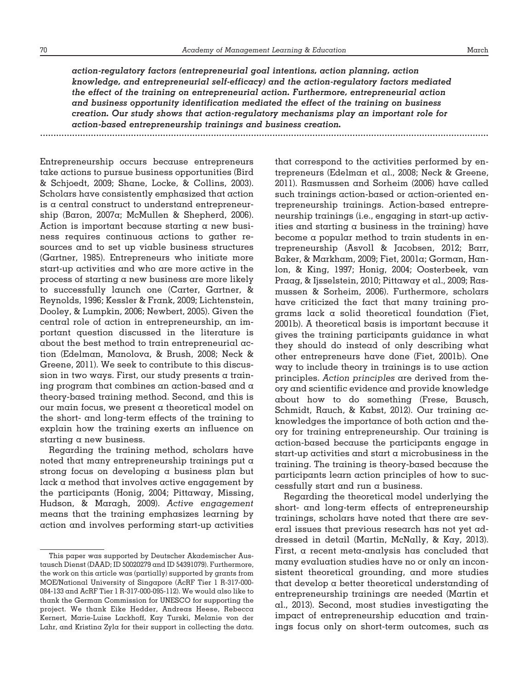*action-regulatory factors (entrepreneurial goal intentions, action planning, action knowledge, and entrepreneurial self-efficacy) and the action-regulatory factors mediated the effect of the training on entrepreneurial action. Furthermore, entrepreneurial action and business opportunity identification mediated the effect of the training on business creation. Our study shows that action-regulatory mechanisms play an important role for action-based entrepreneurship trainings and business creation.* ........................................................................................................................................................................

Entrepreneurship occurs because entrepreneurs take actions to pursue business opportunities (Bird & Schjoedt, 2009; Shane, Locke, & Collins, 2003). Scholars have consistently emphasized that action is a central construct to understand entrepreneurship (Baron, 2007a; McMullen & Shepherd, 2006). Action is important because starting a new business requires continuous actions to gather resources and to set up viable business structures (Gartner, 1985). Entrepreneurs who initiate more start-up activities and who are more active in the process of starting a new business are more likely to successfully launch one (Carter, Gartner, & Reynolds, 1996; Kessler & Frank, 2009; Lichtenstein, Dooley, & Lumpkin, 2006; Newbert, 2005). Given the central role of action in entrepreneurship, an important question discussed in the literature is about the best method to train entrepreneurial action (Edelman, Manolova, & Brush, 2008; Neck & Greene, 2011). We seek to contribute to this discussion in two ways. First, our study presents a training program that combines an action-based and a theory-based training method. Second, and this is our main focus, we present a theoretical model on the short- and long-term effects of the training to explain how the training exerts an influence on starting a new business.

Regarding the training method, scholars have noted that many entrepreneurship trainings put a strong focus on developing a business plan but lack a method that involves active engagement by the participants (Honig, 2004; Pittaway, Missing, Hudson, & Maragh, 2009). *Active engagement* means that the training emphasizes learning by action and involves performing start-up activities

that correspond to the activities performed by entrepreneurs (Edelman et al., 2008; Neck & Greene, 2011). Rasmussen and Sorheim (2006) have called such trainings action-based or action-oriented entrepreneurship trainings. Action-based entrepreneurship trainings (i.e., engaging in start-up activities and starting a business in the training) have become a popular method to train students in entrepreneurship (Asvoll & Jacobsen, 2012; Barr, Baker, & Markham, 2009; Fiet, 2001a; Gorman, Hanlon, & King, 1997; Honig, 2004; Oosterbeek, van Praag, & Ijsselstein, 2010; Pittaway et al., 2009; Rasmussen & Sorheim, 2006). Furthermore, scholars have criticized the fact that many training programs lack a solid theoretical foundation (Fiet, 2001b). A theoretical basis is important because it gives the training participants guidance in what they should do instead of only describing what other entrepreneurs have done (Fiet, 2001b). One way to include theory in trainings is to use action principles. *Action principles* are derived from theory and scientific evidence and provide knowledge about how to do something (Frese, Bausch, Schmidt, Rauch, & Kabst, 2012). Our training acknowledges the importance of both action and theory for training entrepreneurship. Our training is action-based because the participants engage in start-up activities and start a microbusiness in the training. The training is theory-based because the participants learn action principles of how to successfully start and run a business.

Regarding the theoretical model underlying the short- and long-term effects of entrepreneurship trainings, scholars have noted that there are several issues that previous research has not yet addressed in detail (Martin, McNally, & Kay, 2013). First, a recent meta-analysis has concluded that many evaluation studies have no or only an inconsistent theoretical grounding, and more studies that develop a better theoretical understanding of entrepreneurship trainings are needed (Martin et al., 2013). Second, most studies investigating the impact of entrepreneurship education and trainings focus only on short-term outcomes, such as

This paper was supported by Deutscher Akademischer Austausch Dienst (DAAD; ID 50020279 and ID 54391079). Furthermore, the work on this article was (partially) supported by grants from MOE/National University of Singapore (AcRF Tier 1 R-317-000- 084-133 and AcRF Tier 1 R-317-000-095-112). We would also like to thank the German Commission for UNESCO for supporting the project. We thank Eike Hedder, Andreas Heese, Rebecca Kernert, Marie-Luise Lackhoff, Kay Turski, Melanie von der Lahr, and Kristina Zyla for their support in collecting the data.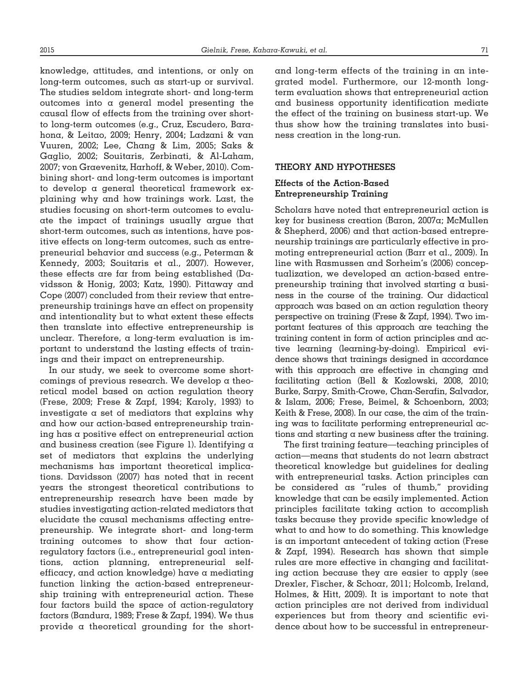knowledge, attitudes, and intentions, or only on long-term outcomes, such as start-up or survival. The studies seldom integrate short- and long-term outcomes into a general model presenting the causal flow of effects from the training over shortto long-term outcomes (e.g., Cruz, Escudero, Barahona, & Leitao, 2009; Henry, 2004; Ladzani & van Vuuren, 2002; Lee, Chang & Lim, 2005; Saks & Gaglio, 2002; Souitaris, Zerbinati, & Al-Laham, 2007; von Graevenitz, Harhoff, & Weber, 2010). Combining short- and long-term outcomes is important to develop a general theoretical framework explaining why and how trainings work. Last, the studies focusing on short-term outcomes to evaluate the impact of trainings usually argue that short-term outcomes, such as intentions, have positive effects on long-term outcomes, such as entrepreneurial behavior and success (e.g., Peterman & Kennedy, 2003; Souitaris et al., 2007). However, these effects are far from being established (Davidsson & Honig, 2003; Katz, 1990). Pittaway and Cope (2007) concluded from their review that entrepreneurship trainings have an effect on propensity and intentionality but to what extent these effects then translate into effective entrepreneurship is unclear. Therefore, a long-term evaluation is important to understand the lasting effects of trainings and their impact on entrepreneurship.

In our study, we seek to overcome some shortcomings of previous research. We develop a theoretical model based on action regulation theory (Frese, 2009; Frese & Zapf, 1994; Karoly, 1993) to investigate a set of mediators that explains why and how our action-based entrepreneurship training has a positive effect on entrepreneurial action and business creation (see Figure 1). Identifying a set of mediators that explains the underlying mechanisms has important theoretical implications. Davidsson (2007) has noted that in recent years the strongest theoretical contributions to entrepreneurship research have been made by studies investigating action-related mediators that elucidate the causal mechanisms affecting entrepreneurship. We integrate short- and long-term training outcomes to show that four actionregulatory factors (i.e., entrepreneurial goal intentions, action planning, entrepreneurial selfefficacy, and action knowledge) have a mediating function linking the action-based entrepreneurship training with entrepreneurial action. These four factors build the space of action-regulatory factors (Bandura, 1989; Frese & Zapf, 1994). We thus provide a theoretical grounding for the shortand long-term effects of the training in an integrated model. Furthermore, our 12-month longterm evaluation shows that entrepreneurial action and business opportunity identification mediate the effect of the training on business start-up. We thus show how the training translates into business creation in the long-run.

#### **THEORY AND HYPOTHESES**

### **Effects of the Action-Based Entrepreneurship Training**

Scholars have noted that entrepreneurial action is key for business creation (Baron, 2007a; McMullen & Shepherd, 2006) and that action-based entrepreneurship trainings are particularly effective in promoting entrepreneurial action (Barr et al., 2009). In line with Rasmussen and Sorheim's (2006) conceptualization, we developed an action-based entrepreneurship training that involved starting a business in the course of the training. Our didactical approach was based on an action regulation theory perspective on training (Frese & Zapf, 1994). Two important features of this approach are teaching the training content in form of action principles and active learning (learning-by-doing). Empirical evidence shows that trainings designed in accordance with this approach are effective in changing and facilitating action (Bell & Kozlowski, 2008, 2010; Burke, Sarpy, Smith-Crowe, Chan-Serafin, Salvador, & Islam, 2006; Frese, Beimel, & Schoenborn, 2003; Keith & Frese, 2008). In our case, the aim of the training was to facilitate performing entrepreneurial actions and starting a new business after the training.

The first training feature—teaching principles of action—means that students do not learn abstract theoretical knowledge but guidelines for dealing with entrepreneurial tasks. Action principles can be considered as "rules of thumb," providing knowledge that can be easily implemented. Action principles facilitate taking action to accomplish tasks because they provide specific knowledge of what to and how to do something. This knowledge is an important antecedent of taking action (Frese & Zapf, 1994). Research has shown that simple rules are more effective in changing and facilitating action because they are easier to apply (see Drexler, Fischer, & Schoar, 2011; Holcomb, Ireland, Holmes, & Hitt, 2009). It is important to note that action principles are not derived from individual experiences but from theory and scientific evidence about how to be successful in entrepreneur-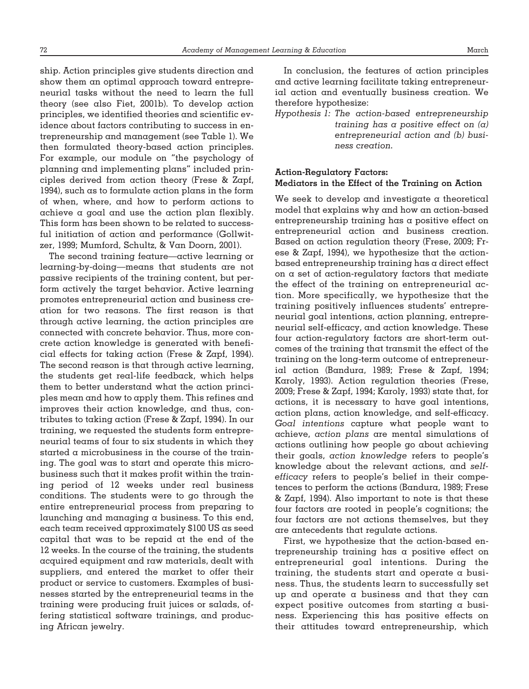ship. Action principles give students direction and show them an optimal approach toward entrepreneurial tasks without the need to learn the full theory (see also Fiet, 2001b). To develop action principles, we identified theories and scientific evidence about factors contributing to success in entrepreneurship and management (see Table 1). We then formulated theory-based action principles. For example, our module on "the psychology of planning and implementing plans" included principles derived from action theory (Frese & Zapf, 1994), such as to formulate action plans in the form of when, where, and how to perform actions to achieve a goal and use the action plan flexibly. This form has been shown to be related to successful initiation of action and performance (Gollwitzer, 1999; Mumford, Schultz, & Van Doorn, 2001).

The second training feature—active learning or learning-by-doing—means that students are not passive recipients of the training content, but perform actively the target behavior. Active learning promotes entrepreneurial action and business creation for two reasons. The first reason is that through active learning, the action principles are connected with concrete behavior. Thus, more concrete action knowledge is generated with beneficial effects for taking action (Frese & Zapf, 1994). The second reason is that through active learning, the students get real-life feedback, which helps them to better understand what the action principles mean and how to apply them. This refines and improves their action knowledge, and thus, contributes to taking action (Frese & Zapf, 1994). In our training, we requested the students form entrepreneurial teams of four to six students in which they started a microbusiness in the course of the training. The goal was to start and operate this microbusiness such that it makes profit within the training period of 12 weeks under real business conditions. The students were to go through the entire entrepreneurial process from preparing to launching and managing a business. To this end, each team received approximately \$100 US as seed capital that was to be repaid at the end of the 12 weeks. In the course of the training, the students acquired equipment and raw materials, dealt with suppliers, and entered the market to offer their product or service to customers. Examples of businesses started by the entrepreneurial teams in the training were producing fruit juices or salads, offering statistical software trainings, and producing African jewelry.

In conclusion, the features of action principles and active learning facilitate taking entrepreneurial action and eventually business creation. We therefore hypothesize:

*Hypothesis 1: The action-based entrepreneurship training has a positive effect on (a) entrepreneurial action and (b) business creation.*

# **Action-Regulatory Factors: Mediators in the Effect of the Training on Action**

We seek to develop and investigate a theoretical model that explains why and how an action-based entrepreneurship training has a positive effect on entrepreneurial action and business creation. Based on action regulation theory (Frese, 2009; Frese & Zapf, 1994), we hypothesize that the actionbased entrepreneurship training has a direct effect on a set of action-regulatory factors that mediate the effect of the training on entrepreneurial action. More specifically, we hypothesize that the training positively influences students' entrepreneurial goal intentions, action planning, entrepreneurial self-efficacy, and action knowledge. These four action-regulatory factors are short-term outcomes of the training that transmit the effect of the training on the long-term outcome of entrepreneurial action (Bandura, 1989; Frese & Zapf, 1994; Karoly, 1993). Action regulation theories (Frese, 2009; Frese & Zapf, 1994; Karoly, 1993) state that, for actions, it is necessary to have goal intentions, action plans, action knowledge, and self-efficacy. *Goal intentions* capture what people want to achieve, *action plans* are mental simulations of actions outlining how people go about achieving their goals, *action knowledge* refers to people's knowledge about the relevant actions, and *selfefficacy* refers to people's belief in their competences to perform the actions (Bandura, 1989; Frese & Zapf, 1994). Also important to note is that these four factors are rooted in people's cognitions; the four factors are not actions themselves, but they are antecedents that regulate actions.

First, we hypothesize that the action-based entrepreneurship training has a positive effect on entrepreneurial goal intentions. During the training, the students start and operate a business. Thus, the students learn to successfully set up and operate a business and that they can expect positive outcomes from starting a business. Experiencing this has positive effects on their attitudes toward entrepreneurship, which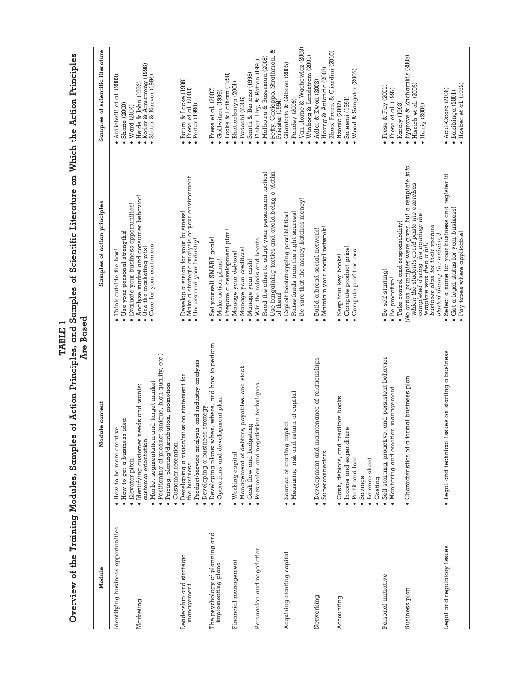| NATION WAS IN WHITE THE THE WAS A STRAIN WAS A       | Are                                                                                                                                                            | es of Uniter Transport is the called of the product of the cald in the called of the control of the control of the called the control of the called the control of the control of the control of the control of the control o<br>Based |                                                                                                                       |
|------------------------------------------------------|----------------------------------------------------------------------------------------------------------------------------------------------------------------|----------------------------------------------------------------------------------------------------------------------------------------------------------------------------------------------------------------------------------------|-----------------------------------------------------------------------------------------------------------------------|
| Module                                               | lodule content<br>2                                                                                                                                            | Samples of action principles                                                                                                                                                                                                           | Samples of scientific literature                                                                                      |
| Identifying business opportunities<br>Marketing      | $\bullet$ Identifying customer needs and wants;<br>customer orientation<br>· How to get a business idea<br>• How to be more creative<br>Elevator pitch         | Analyze market and consumer behavior!<br>Use the marketing mix!<br>Evaluate your business opportunities!<br>Use your personal strengths!<br>Think outside the box!                                                                     | · Ardichvili et al. (2003)<br>$\bullet$ Shane (2000)<br>$•$ Ward (2004)                                               |
|                                                      | Positioning of product (unique, high quality, etc.)<br>Market segmentation and target market<br>Pricing, placing/distribution, promotion<br>Customer retention | Care for your customers!                                                                                                                                                                                                               | • Heide & John (1992)<br>• Kotler & Armstrong (1996)<br>• Slater & Narver (1994)                                      |
| Leadership and strategic<br>management               | Product/service analysis and industry analysis<br>· Developing a vision/mission statement for<br>Developing a business strategy<br>the business                | • Develop a vision for your business!<br>• Make a strategic analysis of your environment!<br>• Understand your industry!                                                                                                               | • Baum & Locke (1998)<br>• Frese et al. (2003)<br>• Porter (1980)                                                     |
| The psychology of planning and<br>implementing plans | when, where, and how to perform<br>· Operations and development plan<br>· Developing plans:                                                                    | Prepare a development plan!<br>Set yourself SMART goals!<br>Make action plans!                                                                                                                                                         | Locke & Latham (1990)<br>• Frese et al. (2007)<br>Gollwitzer (1999)                                                   |
| Financial management                                 | · Management of debtors, payables, and stock<br>• Cash flow and budgeting<br>Working capital                                                                   | Manage your creditors!<br>Manage your debtors!<br>Manage your cash!                                                                                                                                                                    | Smith & Bertozzi (1998)<br>· Bhattacharya (2001)<br>· Padachi (2006)                                                  |
| Persuasion and negotiation                           | · Persuasion and negotiation techniques                                                                                                                        | Read the other to adapt your persuasion tactics!<br>Use bargaining tactics and avoid being a victim<br>Win the minds and hearts!<br>of them!                                                                                           | చ<br>• Petty, Cacioppo, Strathman,<br>Priester (1994)<br>Malhotra & Bazerman (2008)<br>· Fisher, Ury, & Patton (1991) |
| Acquiring starting capital                           | • Measuring risk and return of capital<br>capital<br>· Sources of starting                                                                                     | Be sure that the money hatches money!<br>Raise funds from the right sources!<br>Exploit bootstrapping possibilities!                                                                                                                   | Van Horne & Wachowicz (2008)<br>Winborg & Landstrom (2001)<br>Gianforte & Gibson (2005)<br>Pandey (2009)              |
| Networking                                           | · Development and maintenance of relationships<br>· Superconnectors                                                                                            | · Maintain your social network!<br>· Build a broad social network!                                                                                                                                                                     | Zhao, Frese, & Giardini (2010)<br>· Hoang & Antoncic (2003)<br>Adler & Kwon (2002)                                    |
| Accounting                                           | creditors books<br>· Income and expenditure<br>Cash, debtors, and<br>Profit and loss<br>Balance sheet<br>Savings<br>Costing                                    | Compute product price!<br>Compute profit or loss!<br>• Keep four key books!                                                                                                                                                            | Wood & Sangster (2005)<br>Saleemi (1991)<br>$\bullet$ Nzomo (2002)                                                    |
| Personal initiative                                  | Self-starting, proactive, and persistent behavior<br>· Monitoring and emotion management                                                                       | · Take control and responsibility!<br>· Be self-starting!<br>$\bullet$ Be proactive!                                                                                                                                                   | • Frese & Fay $(2001)$<br>• Frese et al. (1997)<br>$\bullet$ Karoly (1993)                                            |
| <b>Business</b> plan                                 | • Characteristics of a formal business plan                                                                                                                    | No action principles were given but a template into which the students could paste the exercises completed during the training; the<br>business plan for their venture<br>started during the training.<br>template was then a full     | $\bullet$ Bygrave & Zacharakis (2008)<br>$\bullet$ Hisrich et al. (2005)<br>$\bullet$ Honig (2004)                    |
| Legal and regulatory issues                          | · Legal and technical issues on starting a business                                                                                                            | Select a name for your business and register it!<br>Get a legal status for your business!<br>Pay taxes where applicable!                                                                                                               | Hoeber et al. (1982)<br>· Acul-Ocoro (2008)<br>$\bullet$ Bakibinga (2001)                                             |

TABLE 1<br>Overview of the Training Modules, Samples of Action Principles, and Samples of Scientific Literature on Which the Action Principles Overview of the Training Modules, Samples of Action Principles, and Samples of Scientific Literature on Which the Action Principles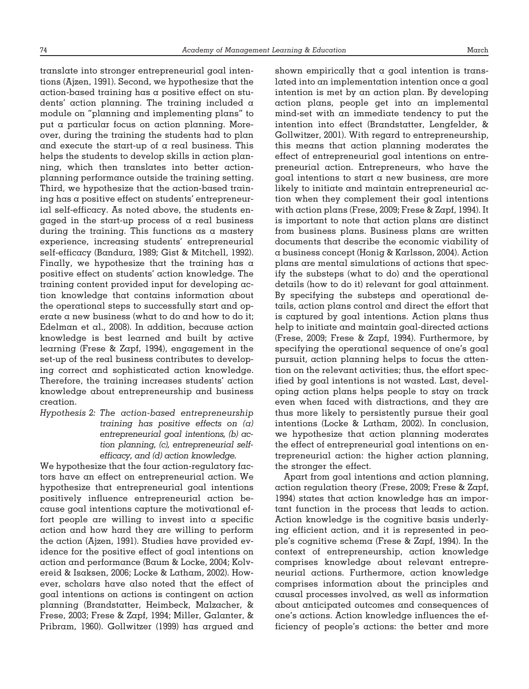translate into stronger entrepreneurial goal intentions (Ajzen, 1991). Second, we hypothesize that the action-based training has a positive effect on students' action planning. The training included a module on "planning and implementing plans" to put a particular focus on action planning. Moreover, during the training the students had to plan and execute the start-up of a real business. This helps the students to develop skills in action planning, which then translates into better actionplanning performance outside the training setting. Third, we hypothesize that the action-based training has a positive effect on students' entrepreneurial self-efficacy. As noted above, the students engaged in the start-up process of a real business during the training. This functions as a mastery experience, increasing students' entrepreneurial self-efficacy (Bandura, 1989; Gist & Mitchell, 1992). Finally, we hypothesize that the training has  $\alpha$ positive effect on students' action knowledge. The training content provided input for developing action knowledge that contains information about the operational steps to successfully start and operate a new business (what to do and how to do it; Edelman et al., 2008). In addition, because action knowledge is best learned and built by active learning (Frese & Zapf, 1994), engagement in the set-up of the real business contributes to developing correct and sophisticated action knowledge. Therefore, the training increases students' action knowledge about entrepreneurship and business creation.

*Hypothesis 2: The action-based entrepreneurship training has positive effects on (a) entrepreneurial goal intentions, (b) action planning, (c), entrepreneurial selfefficacy, and (d) action knowledge.*

We hypothesize that the four action-regulatory factors have an effect on entrepreneurial action. We hypothesize that entrepreneurial goal intentions positively influence entrepreneurial action because goal intentions capture the motivational effort people are willing to invest into  $\alpha$  specific action and how hard they are willing to perform the action (Ajzen, 1991). Studies have provided evidence for the positive effect of goal intentions on action and performance (Baum & Locke, 2004; Kolvereid & Isaksen, 2006; Locke & Latham, 2002). However, scholars have also noted that the effect of goal intentions on actions is contingent on action planning (Brandstatter, Heimbeck, Malzacher, & Frese, 2003; Frese & Zapf, 1994; Miller, Galanter, & Pribram, 1960). Gollwitzer (1999) has argued and

shown empirically that a goal intention is translated into an implementation intention once a goal intention is met by an action plan. By developing action plans, people get into an implemental mind-set with an immediate tendency to put the intention into effect (Brandstatter, Lengfelder, & Gollwitzer, 2001). With regard to entrepreneurship, this means that action planning moderates the effect of entrepreneurial goal intentions on entrepreneurial action. Entrepreneurs, who have the goal intentions to start a new business, are more likely to initiate and maintain entrepreneurial action when they complement their goal intentions with action plans (Frese, 2009; Frese & Zapf, 1994). It is important to note that action plans are distinct from business plans. Business plans are written documents that describe the economic viability of a business concept (Honig & Karlsson, 2004). Action plans are mental simulations of actions that specify the substeps (what to do) and the operational details (how to do it) relevant for goal attainment. By specifying the substeps and operational details, action plans control and direct the effort that is captured by goal intentions. Action plans thus help to initiate and maintain goal-directed actions (Frese, 2009; Frese & Zapf, 1994). Furthermore, by specifying the operational sequence of one's goal pursuit, action planning helps to focus the attention on the relevant activities; thus, the effort specified by goal intentions is not wasted. Last, developing action plans helps people to stay on track even when faced with distractions, and they are thus more likely to persistently pursue their goal intentions (Locke & Latham, 2002). In conclusion, we hypothesize that action planning moderates the effect of entrepreneurial goal intentions on entrepreneurial action: the higher action planning, the stronger the effect.

Apart from goal intentions and action planning, action regulation theory (Frese, 2009; Frese & Zapf, 1994) states that action knowledge has an important function in the process that leads to action. Action knowledge is the cognitive basis underlying efficient action, and it is represented in people's cognitive schema (Frese & Zapf, 1994). In the context of entrepreneurship, action knowledge comprises knowledge about relevant entrepreneurial actions. Furthermore, action knowledge comprises information about the principles and causal processes involved, as well as information about anticipated outcomes and consequences of one's actions. Action knowledge influences the efficiency of people's actions: the better and more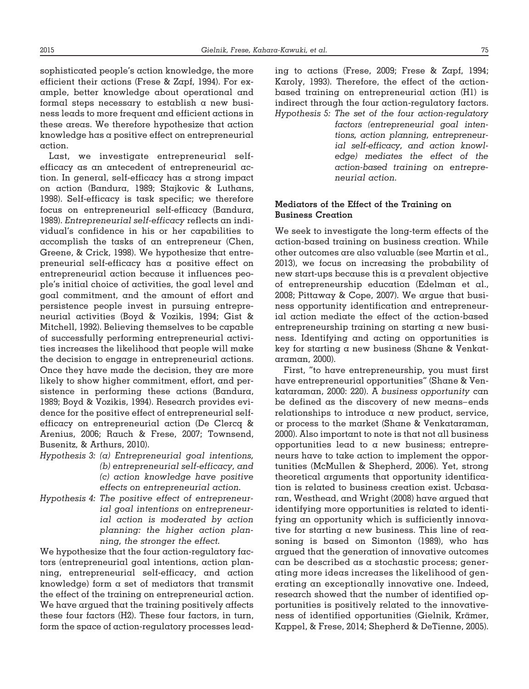sophisticated people's action knowledge, the more efficient their actions (Frese & Zapf, 1994). For example, better knowledge about operational and formal steps necessary to establish a new business leads to more frequent and efficient actions in these areas. We therefore hypothesize that action knowledge has a positive effect on entrepreneurial action.

Last, we investigate entrepreneurial selfefficacy as an antecedent of entrepreneurial action. In general, self-efficacy has a strong impact on action (Bandura, 1989; Stajkovic & Luthans, 1998). Self-efficacy is task specific; we therefore focus on entrepreneurial self-efficacy (Bandura, 1989). *Entrepreneurial self-efficacy* reflects an individual's confidence in his or her capabilities to accomplish the tasks of an entrepreneur (Chen, Greene, & Crick, 1998). We hypothesize that entrepreneurial self-efficacy has a positive effect on entrepreneurial action because it influences people's initial choice of activities, the goal level and goal commitment, and the amount of effort and persistence people invest in pursuing entrepreneurial activities (Boyd & Vozikis, 1994; Gist & Mitchell, 1992). Believing themselves to be capable of successfully performing entrepreneurial activities increases the likelihood that people will make the decision to engage in entrepreneurial actions. Once they have made the decision, they are more likely to show higher commitment, effort, and persistence in performing these actions (Bandura, 1989; Boyd & Vozikis, 1994). Research provides evidence for the positive effect of entrepreneurial selfefficacy on entrepreneurial action (De Clercq & Arenius, 2006; Rauch & Frese, 2007; Townsend, Busenitz, & Arthurs, 2010).

- *Hypothesis 3: (a) Entrepreneurial goal intentions, (b) entrepreneurial self-efficacy, and (c) action knowledge have positive effects on entrepreneurial action.*
- *Hypothesis 4: The positive effect of entrepreneurial goal intentions on entrepreneurial action is moderated by action planning: the higher action planning, the stronger the effect.*

We hypothesize that the four action-regulatory factors (entrepreneurial goal intentions, action planning, entrepreneurial self-efficacy, and action knowledge) form a set of mediators that transmit the effect of the training on entrepreneurial action. We have argued that the training positively affects these four factors (H2). These four factors, in turn, form the space of action-regulatory processes leading to actions (Frese, 2009; Frese & Zapf, 1994; Karoly, 1993). Therefore, the effect of the actionbased training on entrepreneurial action (H1) is indirect through the four action-regulatory factors. *Hypothesis 5: The set of the four action-regulatory*

*factors (entrepreneurial goal intentions, action planning, entrepreneurial self-efficacy, and action knowledge) mediates the effect of the action-based training on entrepreneurial action.*

# **Mediators of the Effect of the Training on Business Creation**

We seek to investigate the long-term effects of the action-based training on business creation. While other outcomes are also valuable (see Martin et al., 2013), we focus on increasing the probability of new start-ups because this is a prevalent objective of entrepreneurship education (Edelman et al., 2008; Pittaway & Cope, 2007). We argue that business opportunity identification and entrepreneurial action mediate the effect of the action-based entrepreneurship training on starting a new business. Identifying and acting on opportunities is key for starting a new business (Shane & Venkataraman, 2000).

First, "to have entrepreneurship, you must first have entrepreneurial opportunities" (Shane & Venkataraman, 2000: 220). A *business opportunity* can be defined as the discovery of new means– ends relationships to introduce a new product, service, or process to the market (Shane & Venkataraman, 2000). Also important to note is that not all business opportunities lead to a new business; entrepreneurs have to take action to implement the opportunities (McMullen & Shepherd, 2006). Yet, strong theoretical arguments that opportunity identification is related to business creation exist. Ucbasaran, Westhead, and Wright (2008) have argued that identifying more opportunities is related to identifying an opportunity which is sufficiently innovative for starting a new business. This line of reasoning is based on Simonton (1989), who has argued that the generation of innovative outcomes can be described as a stochastic process; generating more ideas increases the likelihood of generating an exceptionally innovative one. Indeed, research showed that the number of identified opportunities is positively related to the innovativeness of identified opportunities (Gielnik, Krämer, Kappel, & Frese, 2014; Shepherd & DeTienne, 2005).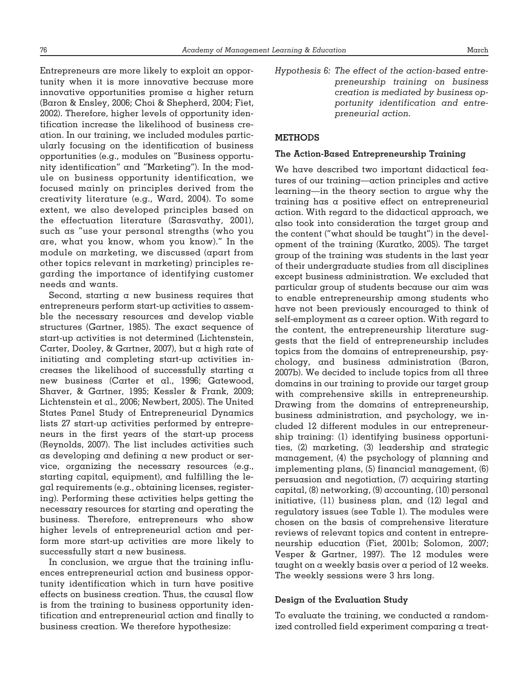Entrepreneurs are more likely to exploit an opportunity when it is more innovative because more innovative opportunities promise a higher return (Baron & Ensley, 2006; Choi & Shepherd, 2004; Fiet, 2002). Therefore, higher levels of opportunity identification increase the likelihood of business creation. In our training, we included modules particularly focusing on the identification of business opportunities (e.g., modules on "Business opportunity identification" and "Marketing"). In the module on business opportunity identification, we focused mainly on principles derived from the creativity literature (e.g., Ward, 2004). To some extent, we also developed principles based on the effectuation literature (Sarasvathy, 2001), such as "use your personal strengths (who you are, what you know, whom you know)." In the module on marketing, we discussed (apart from other topics relevant in marketing) principles regarding the importance of identifying customer needs and wants.

Second, starting a new business requires that entrepreneurs perform start-up activities to assemble the necessary resources and develop viable structures (Gartner, 1985). The exact sequence of start-up activities is not determined (Lichtenstein, Carter, Dooley, & Gartner, 2007), but a high rate of initiating and completing start-up activities increases the likelihood of successfully starting a new business (Carter et al., 1996; Gatewood, Shaver, & Gartner, 1995; Kessler & Frank, 2009; Lichtenstein et al., 2006; Newbert, 2005). The United States Panel Study of Entrepreneurial Dynamics lists 27 start-up activities performed by entrepreneurs in the first years of the start-up process (Reynolds, 2007). The list includes activities such as developing and defining a new product or service, organizing the necessary resources (e.g., starting capital, equipment), and fulfilling the legal requirements (e.g., obtaining licenses, registering). Performing these activities helps getting the necessary resources for starting and operating the business. Therefore, entrepreneurs who show higher levels of entrepreneurial action and perform more start-up activities are more likely to successfully start a new business.

In conclusion, we argue that the training influences entrepreneurial action and business opportunity identification which in turn have positive effects on business creation. Thus, the causal flow is from the training to business opportunity identification and entrepreneurial action and finally to business creation. We therefore hypothesize:

*Hypothesis 6: The effect of the action-based entrepreneurship training on business creation is mediated by business opportunity identification and entrepreneurial action.*

# **METHODS**

#### **The Action-Based Entrepreneurship Training**

We have described two important didactical features of our training—action principles and active learning—in the theory section to argue why the training has a positive effect on entrepreneurial action. With regard to the didactical approach, we also took into consideration the target group and the content ("what should be taught") in the development of the training (Kuratko, 2005). The target group of the training was students in the last year of their undergraduate studies from all disciplines except business administration. We excluded that particular group of students because our aim was to enable entrepreneurship among students who have not been previously encouraged to think of self-employment as a career option. With regard to the content, the entrepreneurship literature suggests that the field of entrepreneurship includes topics from the domains of entrepreneurship, psychology, and business administration (Baron, 2007b). We decided to include topics from all three domains in our training to provide our target group with comprehensive skills in entrepreneurship. Drawing from the domains of entrepreneurship, business administration, and psychology, we included 12 different modules in our entrepreneurship training: (1) identifying business opportunities, (2) marketing, (3) leadership and strategic management, (4) the psychology of planning and implementing plans, (5) financial management, (6) persuasion and negotiation, (7) acquiring starting capital, (8) networking, (9) accounting, (10) personal initiative, (11) business plan, and (12) legal and regulatory issues (see Table 1). The modules were chosen on the basis of comprehensive literature reviews of relevant topics and content in entrepreneurship education (Fiet, 2001b; Solomon, 2007; Vesper & Gartner, 1997). The 12 modules were taught on a weekly basis over a period of 12 weeks. The weekly sessions were 3 hrs long.

#### **Design of the Evaluation Study**

To evaluate the training, we conducted a randomized controlled field experiment comparing a treat-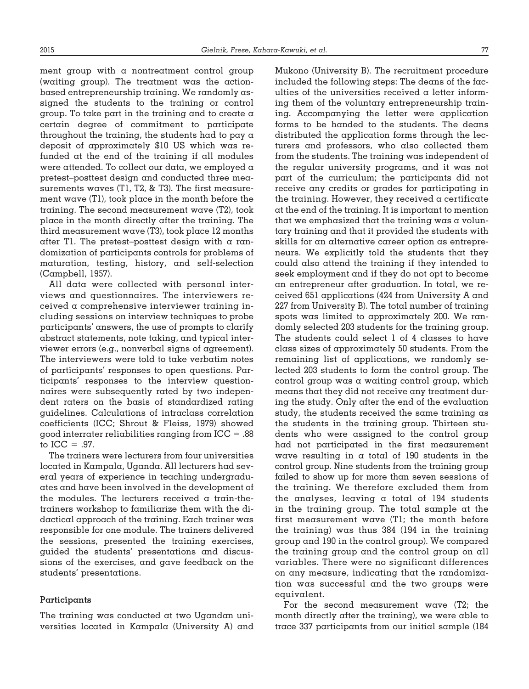ment group with a nontreatment control group (waiting group). The treatment was the actionbased entrepreneurship training. We randomly assigned the students to the training or control group. To take part in the training and to create a certain degree of commitment to participate throughout the training, the students had to pay a deposit of approximately \$10 US which was refunded at the end of the training if all modules were attended. To collect our data, we employed a pretest–posttest design and conducted three measurements waves (T1, T2, & T3). The first measurement wave (T1), took place in the month before the training. The second measurement wave (T2), took place in the month directly after the training. The third measurement wave (T3), took place 12 months after Tl. The pretest-posttest design with  $\alpha$  randomization of participants controls for problems of maturation, testing, history, and self-selection (Campbell, 1957).

All data were collected with personal interviews and questionnaires. The interviewers received a comprehensive interviewer training including sessions on interview techniques to probe participants' answers, the use of prompts to clarify abstract statements, note taking, and typical interviewer errors (e.g., nonverbal signs of agreement). The interviewers were told to take verbatim notes of participants' responses to open questions. Participants' responses to the interview questionnaires were subsequently rated by two independent raters on the basis of standardized rating guidelines. Calculations of intraclass correlation coefficients (ICC; Shrout & Fleiss, 1979) showed good interrater reliabilities ranging from ICC = .88 to  $ICC = .97$ .

The trainers were lecturers from four universities located in Kampala, Uganda. All lecturers had several years of experience in teaching undergraduates and have been involved in the development of the modules. The lecturers received a train-thetrainers workshop to familiarize them with the didactical approach of the training. Each trainer was responsible for one module. The trainers delivered the sessions, presented the training exercises, guided the students' presentations and discussions of the exercises, and gave feedback on the students' presentations.

#### **Participants**

The training was conducted at two Ugandan universities located in Kampala (University A) and Mukono (University B). The recruitment procedure included the following steps: The deans of the faculties of the universities received  $\alpha$  letter informing them of the voluntary entrepreneurship training. Accompanying the letter were application forms to be handed to the students. The deans distributed the application forms through the lecturers and professors, who also collected them from the students. The training was independent of the regular university programs, and it was not part of the curriculum; the participants did not receive any credits or grades for participating in the training. However, they received a certificate at the end of the training. It is important to mention that we emphasized that the training was a voluntary training and that it provided the students with skills for an alternative career option as entrepreneurs. We explicitly told the students that they could also attend the training if they intended to seek employment and if they do not opt to become an entrepreneur after graduation. In total, we received 651 applications (424 from University A and 227 from University B). The total number of training spots was limited to approximately 200. We randomly selected 203 students for the training group. The students could select 1 of 4 classes to have class sizes of approximately 50 students. From the remaining list of applications, we randomly selected 203 students to form the control group. The control group was a waiting control group, which means that they did not receive any treatment during the study. Only after the end of the evaluation study, the students received the same training as the students in the training group. Thirteen students who were assigned to the control group had not participated in the first measurement wave resulting in a total of 190 students in the control group. Nine students from the training group failed to show up for more than seven sessions of the training. We therefore excluded them from the analyses, leaving a total of 194 students in the training group. The total sample at the first measurement wave (T1; the month before the training) was thus 384 (194 in the training group and 190 in the control group). We compared the training group and the control group on all variables. There were no significant differences on any measure, indicating that the randomization was successful and the two groups were equivalent.

For the second measurement wave (T2; the month directly after the training), we were able to trace 337 participants from our initial sample (184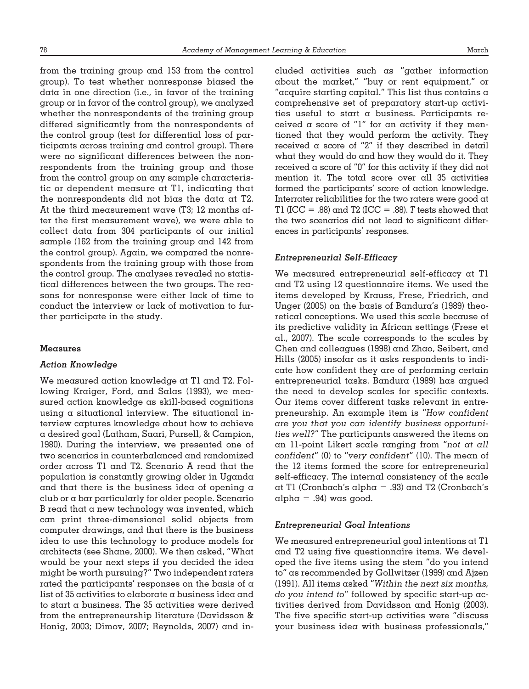from the training group and 153 from the control group). To test whether nonresponse biased the data in one direction (i.e., in favor of the training group or in favor of the control group), we analyzed whether the nonrespondents of the training group differed significantly from the nonrespondents of the control group (test for differential loss of participants across training and control group). There were no significant differences between the nonrespondents from the training group and those from the control group on any sample characteristic or dependent measure at T1, indicating that the nonrespondents did not bias the data at T2. At the third measurement wave (T3; 12 months after the first measurement wave), we were able to collect data from 304 participants of our initial sample (162 from the training group and 142 from the control group). Again, we compared the nonrespondents from the training group with those from the control group. The analyses revealed no statistical differences between the two groups. The reasons for nonresponse were either lack of time to conduct the interview or lack of motivation to further participate in the study.

#### **Measures**

#### *Action Knowledge*

We measured action knowledge at T1 and T2. Following Kraiger, Ford, and Salas (1993), we measured action knowledge as skill-based cognitions using a situational interview. The situational interview captures knowledge about how to achieve a desired goal (Latham, Saari, Pursell, & Campion, 1980). During the interview, we presented one of two scenarios in counterbalanced and randomized order across T1 and T2. Scenario A read that the population is constantly growing older in Uganda and that there is the business idea of opening a club or a bar particularly for older people. Scenario B read that a new technology was invented, which can print three-dimensional solid objects from computer drawings, and that there is the business idea to use this technology to produce models for architects (see Shane, 2000). We then asked, "What would be your next steps if you decided the idea might be worth pursuing?" Two independent raters rated the participants' responses on the basis of a list of 35 activities to elaborate a business idea and to start a business. The 35 activities were derived from the entrepreneurship literature (Davidsson & Honig, 2003; Dimov, 2007; Reynolds, 2007) and in-

cluded activities such as "gather information about the market," "buy or rent equipment," or "acquire starting capital." This list thus contains a comprehensive set of preparatory start-up activities useful to start a business. Participants received  $\alpha$  score of "1" for an activity if they mentioned that they would perform the activity. They received a score of "2" if they described in detail what they would do and how they would do it. They received a score of "0" for this activity if they did not mention it. The total score over all 35 activities formed the participants' score of action knowledge. Interrater reliabilities for the two raters were good at T1 (ICC = .88) and T2 (ICC = .88).  $T$  tests showed that the two scenarios did not lead to significant differences in participants' responses.

#### *Entrepreneurial Self-Efficacy*

We measured entrepreneurial self-efficacy at T1 and T2 using 12 questionnaire items. We used the items developed by Krauss, Frese, Friedrich, and Unger (2005) on the basis of Bandura's (1989) theoretical conceptions. We used this scale because of its predictive validity in African settings (Frese et al., 2007). The scale corresponds to the scales by Chen and colleagues (1998) and Zhao, Seibert, and Hills (2005) insofar as it asks respondents to indicate how confident they are of performing certain entrepreneurial tasks. Bandura (1989) has argued the need to develop scales for specific contexts. Our items cover different tasks relevant in entrepreneurship. An example item is "*How confident are you that you can identify business opportunities well?*" The participants answered the items on an 11-point Likert scale ranging from "*not at all confident*" (0) to "*very confident*" (10). The mean of the 12 items formed the score for entrepreneurial self-efficacy. The internal consistency of the scale at T1 (Cronbach's alpha = .93) and T2 (Cronbach's  $alpha = .94$ ) was good.

#### *Entrepreneurial Goal Intentions*

We measured entrepreneurial goal intentions at T1 and T2 using five questionnaire items. We developed the five items using the stem "do you intend to" as recommended by Gollwitzer (1999) and Ajzen (1991). All items asked "*Within the next six months, do you intend to*" followed by specific start-up activities derived from Davidsson and Honig (2003). The five specific start-up activities were "discuss your business idea with business professionals,"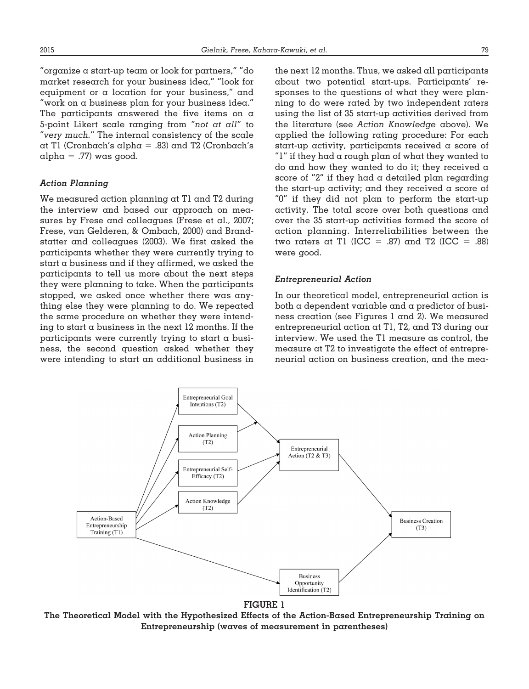"organize a start-up team or look for partners," "do market research for your business idea," "look for equipment or a location for your business," and "work on a business plan for your business idea." The participants answered the five items on a 5-point Likert scale ranging from "*not at all*" to "*very much.*" The internal consistency of the scale at T1 (Cronbach's alpha = .83) and T2 (Cronbach's  $alpha = .77$ ) was good.

# *Action Planning*

We measured action planning at T1 and T2 during the interview and based our approach on measures by Frese and colleagues (Frese et al., 2007; Frese, van Gelderen, & Ombach, 2000) and Brandstatter and colleagues (2003). We first asked the participants whether they were currently trying to start a business and if they affirmed, we asked the participants to tell us more about the next steps they were planning to take. When the participants stopped, we asked once whether there was anything else they were planning to do. We repeated the same procedure on whether they were intending to start a business in the next 12 months. If the participants were currently trying to start a business, the second question asked whether they were intending to start an additional business in the next 12 months. Thus, we asked all participants about two potential start-ups. Participants' responses to the questions of what they were planning to do were rated by two independent raters using the list of 35 start-up activities derived from the literature (see *Action Knowledge* above). We applied the following rating procedure: For each start-up activity, participants received a score of "1" if they had a rough plan of what they wanted to do and how they wanted to do it; they received a score of "2" if they had a detailed plan regarding the start-up activity; and they received a score of "0" if they did not plan to perform the start-up activity. The total score over both questions and over the 35 start-up activities formed the score of action planning. Interreliabilities between the two raters at T1 (ICC = .87) and T2 (ICC = .88) were good.

#### *Entrepreneurial Action*

In our theoretical model, entrepreneurial action is both a dependent variable and a predictor of business creation (see Figures 1 and 2). We measured entrepreneurial action at T1, T2, and T3 during our interview. We used the T1 measure as control, the measure at T2 to investigate the effect of entrepreneurial action on business creation, and the mea-



#### **FIGURE 1**

**The Theoretical Model with the Hypothesized Effects of the Action-Based Entrepreneurship Training on Entrepreneurship (waves of measurement in parentheses)**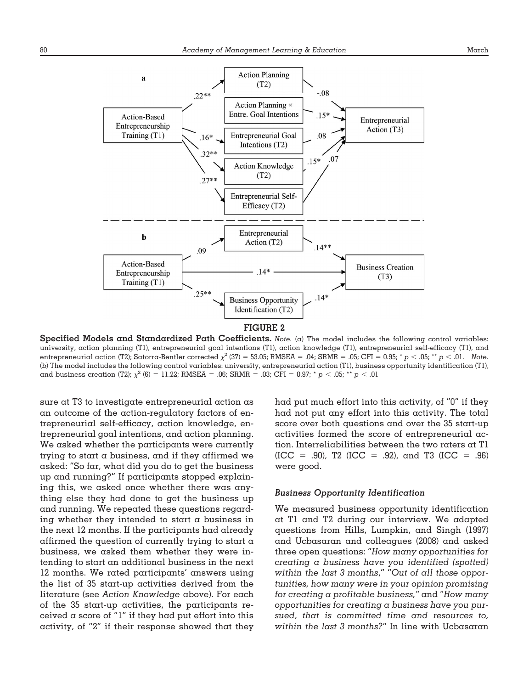

**Specified Models and Standardized Path Coefficients.** *Note.* (a) The model includes the following control variables: university, action planning (T1), entrepreneurial goal intentions (T1), action knowledge (T1), entrepreneurial self-efficacy (T1), and entrepreneurial action (T2); Satorra-Bentler corrected  $\chi^2$  (37) = 53.05; RMSEA = .04; SRMR = .05; CFI = 0.95; \*  $p < .05$ ; \*\*  $p < .01$ . Note. (b) The model includes the following control variables: university, entrepreneurial action (T1), business opportunity identification (T1), and business creation (T2);  $\chi^2$  (6) = 11.22; RMSEA = .06; SRMR = .03; CFI = 0.97; \* *p* < .05; \*\* *p* < .01

sure at T3 to investigate entrepreneurial action as an outcome of the action-regulatory factors of entrepreneurial self-efficacy, action knowledge, entrepreneurial goal intentions, and action planning. We asked whether the participants were currently trying to start a business, and if they affirmed we asked: "So far, what did you do to get the business up and running?" If participants stopped explaining this, we asked once whether there was anything else they had done to get the business up and running. We repeated these questions regarding whether they intended to start  $\alpha$  business in the next 12 months. If the participants had already affirmed the question of currently trying to start a business, we asked them whether they were intending to start an additional business in the next 12 months. We rated participants' answers using the list of 35 start-up activities derived from the literature (see *Action Knowledge* above). For each of the 35 start-up activities, the participants received  $\alpha$  score of "1" if they had put effort into this activity, of "2" if their response showed that they had put much effort into this activity, of "0" if they had not put any effort into this activity. The total score over both questions and over the 35 start-up activities formed the score of entrepreneurial action. Interreliabilities between the two raters at T1  $(ICC = .90)$ , T2  $(ICC = .92)$ , and T3  $(ICC = .96)$ were good.

#### *Business Opportunity Identification*

We measured business opportunity identification at T1 and T2 during our interview. We adapted questions from Hills, Lumpkin, and Singh (1997) and Ucbasaran and colleagues (2008) and asked three open questions: "*How many opportunities for creating a business have you identified (spotted) within the last 3 months*," "*Out of all those opportunities, how many were in your opinion promising for creating a profitable business,"* and "*How many opportunities for creating a business have you pursued*, *that is committed time and resources to, within the last 3 months?*" In line with Ucbasaran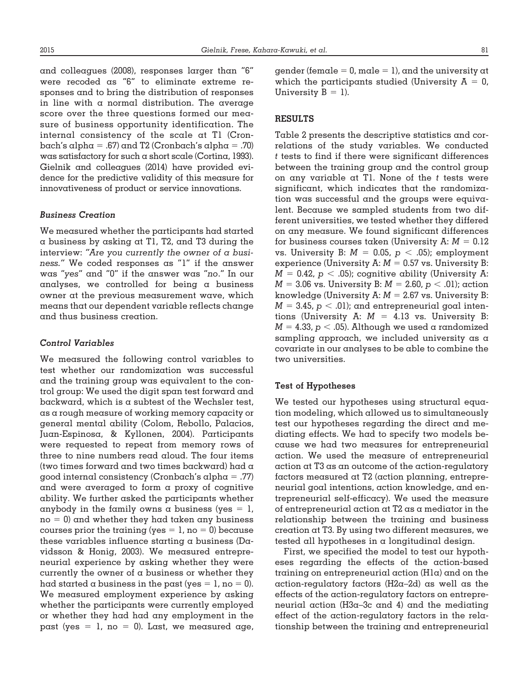and colleagues (2008), responses larger than "6" were recoded as "6" to eliminate extreme responses and to bring the distribution of responses in line with  $\alpha$  normal distribution. The average score over the three questions formed our measure of business opportunity identification. The internal consistency of the scale at T1 (Cronbach's alpha = .67) and T2 (Cronbach's alpha = .70) was satisfactory for such a short scale (Cortina, 1993). Gielnik and colleagues (2014) have provided evidence for the predictive validity of this measure for innovativeness of product or service innovations.

# *Business Creation*

We measured whether the participants had started a business by asking at T1, T2, and T3 during the interview: *"Are you currently the owner of a business."* We coded responses as "1" if the answer was "*yes*" and "0" if the answer was "*no*." In our analyses, we controlled for being a business owner at the previous measurement wave, which means that our dependent variable reflects change and thus business creation.

# *Control Variables*

We measured the following control variables to test whether our randomization was successful and the training group was equivalent to the control group: We used the digit span test forward and backward, which is a subtest of the Wechsler test, as a rough measure of working memory capacity or general mental ability (Colom, Rebollo, Palacios, Juan-Espinosa, & Kyllonen, 2004). Participants were requested to repeat from memory rows of three to nine numbers read aloud. The four items (two times forward and two times backward) had a good internal consistency (Cronbach's alpha = .77) and were averaged to form a proxy of cognitive ability. We further asked the participants whether anybody in the family owns a business (yes  $= 1$ ,  ${\tt no}$  = 0) and whether they had taken any business courses prior the training (yes  $= 1$ , no  $= 0$ ) because these variables influence starting a business ( $Da$ vidsson & Honig, 2003). We measured entrepreneurial experience by asking whether they were currently the owner of  $\alpha$  business or whether they had started a business in the past (yes =  $\,$ l, no = 0). We measured employment experience by asking whether the participants were currently employed or whether they had had any employment in the past (yes  $\,=\,$  l, no  $\,=\,$  0). Last, we measured age, gender (female = 0, male = 1), and the university at which the participants studied (University  $A = 0$ , University  $B = 1$ ).

#### **RESULTS**

Table 2 presents the descriptive statistics and correlations of the study variables. We conducted *t* tests to find if there were significant differences between the training group and the control group on any variable at T1. None of the *t* tests were significant, which indicates that the randomization was successful and the groups were equivalent. Because we sampled students from two different universities, we tested whether they differed on any measure. We found significant differences for business courses taken (University  $\boldsymbol{\mathrm{A}}{:}$   $\boldsymbol{\mathrm{M}} = 0.12$ vs. University B:  $M$  = 0.05,  $p$   $<$  .05); employment experience (University A:  $M$  = 0.57 vs. University B:  $M$  = 0.42,  $p$   $<$  .05); cognitive ability (University A:  $M = 3.06$  vs. University B:  $M = 2.60$ ,  $p < .01$ ); action knowledge (University A:  $M = 2.67$  vs. University B:  $M = 3.45$ ,  $p < .01$ ); and entrepreneurial goal intentions (University A: *M* = 4.13 vs. University B:  $M = 4.33$ ,  $p < .05$ ). Although we used a randomized sampling approach, we included university as a covariate in our analyses to be able to combine the two universities.

# **Test of Hypotheses**

We tested our hypotheses using structural equation modeling, which allowed us to simultaneously test our hypotheses regarding the direct and mediating effects. We had to specify two models because we had two measures for entrepreneurial action. We used the measure of entrepreneurial action at T3 as an outcome of the action-regulatory factors measured at T2 (action planning, entrepreneurial goal intentions, action knowledge, and entrepreneurial self-efficacy). We used the measure of entrepreneurial action at T2 as a mediator in the relationship between the training and business creation at T3. By using two different measures, we tested all hypotheses in a longitudinal design.

First, we specified the model to test our hypotheses regarding the effects of the action-based training on entrepreneurial action (H1a) and on the action-regulatory factors (H2a–2d) as well as the effects of the action-regulatory factors on entrepreneurial action (H3a–3c and 4) and the mediating effect of the action-regulatory factors in the relationship between the training and entrepreneurial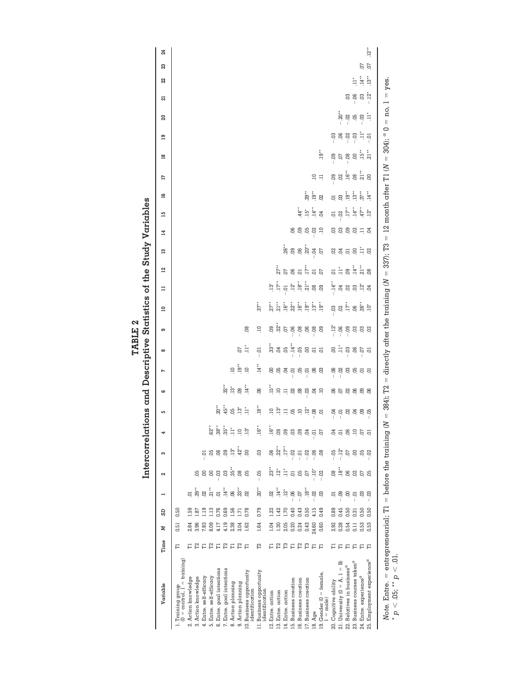|                                                                  |                                                                                            |       |      |                |                     |                         | Intercorrelations and Descriptive Statistics of the Study Variables                                              |                                                                                                                                                                                                                                                                                                                                                                                                     |                                                                                                                                                                                 |                                                                                                                                                                                                                                                         |                                             |                                                                                                                                                                                                                                                                                                                                                                                                                                                                                                                                                                             |                                                                                                                                                                                                                                       |                               |                   |                                                                                                                                                                                                                                                                                                                                                                                                                                           |                                                                                                                          |                          |                  |                                                                                                                                                         |                |        |                         |                              |                                        |         |
|------------------------------------------------------------------|--------------------------------------------------------------------------------------------|-------|------|----------------|---------------------|-------------------------|------------------------------------------------------------------------------------------------------------------|-----------------------------------------------------------------------------------------------------------------------------------------------------------------------------------------------------------------------------------------------------------------------------------------------------------------------------------------------------------------------------------------------------|---------------------------------------------------------------------------------------------------------------------------------------------------------------------------------|---------------------------------------------------------------------------------------------------------------------------------------------------------------------------------------------------------------------------------------------------------|---------------------------------------------|-----------------------------------------------------------------------------------------------------------------------------------------------------------------------------------------------------------------------------------------------------------------------------------------------------------------------------------------------------------------------------------------------------------------------------------------------------------------------------------------------------------------------------------------------------------------------------|---------------------------------------------------------------------------------------------------------------------------------------------------------------------------------------------------------------------------------------|-------------------------------|-------------------|-------------------------------------------------------------------------------------------------------------------------------------------------------------------------------------------------------------------------------------------------------------------------------------------------------------------------------------------------------------------------------------------------------------------------------------------|--------------------------------------------------------------------------------------------------------------------------|--------------------------|------------------|---------------------------------------------------------------------------------------------------------------------------------------------------------|----------------|--------|-------------------------|------------------------------|----------------------------------------|---------|
| Variable                                                         | Time                                                                                       | z     | œ    |                | 2                   | ຕ                       | 4                                                                                                                | S                                                                                                                                                                                                                                                                                                                                                                                                   | ဖ                                                                                                                                                                               | L                                                                                                                                                                                                                                                       | $\infty$                                    | თ                                                                                                                                                                                                                                                                                                                                                                                                                                                                                                                                                                           | $\Xi$                                                                                                                                                                                                                                 | $\Xi$                         | 54                | 53                                                                                                                                                                                                                                                                                                                                                                                                                                        | 14                                                                                                                       | 15                       | 91               | E                                                                                                                                                       | $\frac{8}{16}$ | ā,     | ន                       | 21                           | ឌ<br>22                                | 24      |
| 1. Training group<br>$(0 = \text{control}, 1 = \text{training})$ | F                                                                                          | 0.51  | 0.50 |                |                     |                         |                                                                                                                  |                                                                                                                                                                                                                                                                                                                                                                                                     |                                                                                                                                                                                 |                                                                                                                                                                                                                                                         |                                             |                                                                                                                                                                                                                                                                                                                                                                                                                                                                                                                                                                             |                                                                                                                                                                                                                                       |                               |                   |                                                                                                                                                                                                                                                                                                                                                                                                                                           |                                                                                                                          |                          |                  |                                                                                                                                                         |                |        |                         |                              |                                        |         |
| 2. Action knowledge                                              | Е                                                                                          | 2.84  | 1.59 | ą              |                     |                         |                                                                                                                  |                                                                                                                                                                                                                                                                                                                                                                                                     |                                                                                                                                                                                 |                                                                                                                                                                                                                                                         |                                             |                                                                                                                                                                                                                                                                                                                                                                                                                                                                                                                                                                             |                                                                                                                                                                                                                                       |                               |                   |                                                                                                                                                                                                                                                                                                                                                                                                                                           |                                                                                                                          |                          |                  |                                                                                                                                                         |                |        |                         |                              |                                        |         |
| 3. Action knowledge                                              | $\Gamma2$                                                                                  | 3.96  | 1.87 | $29*$          |                     |                         |                                                                                                                  |                                                                                                                                                                                                                                                                                                                                                                                                     |                                                                                                                                                                                 |                                                                                                                                                                                                                                                         |                                             |                                                                                                                                                                                                                                                                                                                                                                                                                                                                                                                                                                             |                                                                                                                                                                                                                                       |                               |                   |                                                                                                                                                                                                                                                                                                                                                                                                                                           |                                                                                                                          |                          |                  |                                                                                                                                                         |                |        |                         |                              |                                        |         |
| 4. Entre. self-efficacy                                          | $\overline{\mathbb{H}}$                                                                    | 7.83  | 1.19 | S.             | OO.                 |                         |                                                                                                                  |                                                                                                                                                                                                                                                                                                                                                                                                     |                                                                                                                                                                                 |                                                                                                                                                                                                                                                         |                                             |                                                                                                                                                                                                                                                                                                                                                                                                                                                                                                                                                                             |                                                                                                                                                                                                                                       |                               |                   |                                                                                                                                                                                                                                                                                                                                                                                                                                           |                                                                                                                          |                          |                  |                                                                                                                                                         |                |        |                         |                              |                                        |         |
| 5. Entre. self-efficacy                                          | $\mathbb{r}^2$                                                                             | 8.09  | 1.13 | $.21***$       | g                   | ă.                      | ្ត្តី <sub>រ</sub> ំ អំ ដូ ដូ ដូ                                                                                 |                                                                                                                                                                                                                                                                                                                                                                                                     |                                                                                                                                                                                 |                                                                                                                                                                                                                                                         |                                             |                                                                                                                                                                                                                                                                                                                                                                                                                                                                                                                                                                             |                                                                                                                                                                                                                                       |                               |                   |                                                                                                                                                                                                                                                                                                                                                                                                                                           |                                                                                                                          |                          |                  |                                                                                                                                                         |                |        |                         |                              |                                        |         |
| 6. Entre. goal intentions                                        | $\begin{array}{ll} \square & \square & \square \\ \square & \square & \square \end{array}$ | 4.17  | 0.76 | $\overline{a}$ | $-03$               | $\ddot{\rm e}$          |                                                                                                                  | ្តែ<br>ខ្ញុំ មុន ដូ ដូ                                                                                                                                                                                                                                                                                                                                                                              |                                                                                                                                                                                 |                                                                                                                                                                                                                                                         |                                             |                                                                                                                                                                                                                                                                                                                                                                                                                                                                                                                                                                             |                                                                                                                                                                                                                                       |                               |                   |                                                                                                                                                                                                                                                                                                                                                                                                                                           |                                                                                                                          |                          |                  |                                                                                                                                                         |                |        |                         |                              |                                        |         |
| 7. Entre. goal intentions                                        |                                                                                            | 4.19  | 0.69 | $14**$         | $\ddot{\rm s}$      | eg                      |                                                                                                                  |                                                                                                                                                                                                                                                                                                                                                                                                     |                                                                                                                                                                                 |                                                                                                                                                                                                                                                         |                                             |                                                                                                                                                                                                                                                                                                                                                                                                                                                                                                                                                                             |                                                                                                                                                                                                                                       |                               |                   |                                                                                                                                                                                                                                                                                                                                                                                                                                           |                                                                                                                          |                          |                  |                                                                                                                                                         |                |        |                         |                              |                                        |         |
| 8. Action planning                                               |                                                                                            | 2.38  | 1.56 | ළ              | $35**$              | $\ddot{.}3^*$           |                                                                                                                  |                                                                                                                                                                                                                                                                                                                                                                                                     | $\begin{array}{c} \stackrel{*}{\approx} \\ \stackrel{}{\approx} \; \stackrel{}{\approx} \; \stackrel{}{\approx} \; \stackrel{}{\approx} \; \stackrel{}{\approx} \; \end{array}$ | $\begin{array}{c}\n\Xi\vdots \\ \Xi\vdots\n\end{array}$                                                                                                                                                                                                 |                                             |                                                                                                                                                                                                                                                                                                                                                                                                                                                                                                                                                                             |                                                                                                                                                                                                                                       |                               |                   |                                                                                                                                                                                                                                                                                                                                                                                                                                           |                                                                                                                          |                          |                  |                                                                                                                                                         |                |        |                         |                              |                                        |         |
| 9. Action planning                                               |                                                                                            | 3.04  | 1.71 | $23**$         | $\ddot{\mathbf{e}}$ | $42^{**}$               |                                                                                                                  |                                                                                                                                                                                                                                                                                                                                                                                                     |                                                                                                                                                                                 |                                                                                                                                                                                                                                                         | e i                                         |                                                                                                                                                                                                                                                                                                                                                                                                                                                                                                                                                                             |                                                                                                                                                                                                                                       |                               |                   |                                                                                                                                                                                                                                                                                                                                                                                                                                           |                                                                                                                          |                          |                  |                                                                                                                                                         |                |        |                         |                              |                                        |         |
| 10. Business opportunity<br>identification                       | E                                                                                          | 1.62  | 0.78 | S.             | 8                   | S                       |                                                                                                                  |                                                                                                                                                                                                                                                                                                                                                                                                     |                                                                                                                                                                                 |                                                                                                                                                                                                                                                         |                                             | $\ddot{\circ}$                                                                                                                                                                                                                                                                                                                                                                                                                                                                                                                                                              |                                                                                                                                                                                                                                       |                               |                   |                                                                                                                                                                                                                                                                                                                                                                                                                                           |                                                                                                                          |                          |                  |                                                                                                                                                         |                |        |                         |                              |                                        |         |
| 11. Business opportunity<br>identification                       | Γ2                                                                                         | 1.64  | 0.79 | $20**$         | $-0.5$              | So                      | $16**$                                                                                                           | $-3^{*}$                                                                                                                                                                                                                                                                                                                                                                                            | e.                                                                                                                                                                              | $\ddot{A}^*$                                                                                                                                                                                                                                            | $-5$                                        | $\Xi$                                                                                                                                                                                                                                                                                                                                                                                                                                                                                                                                                                       | $.37**$                                                                                                                                                                                                                               |                               |                   |                                                                                                                                                                                                                                                                                                                                                                                                                                           |                                                                                                                          |                          |                  |                                                                                                                                                         |                |        |                         |                              |                                        |         |
| 12. Entre. action                                                | Е                                                                                          | 1.04  | 1.22 | S.             | $23*$               | 90.                     |                                                                                                                  |                                                                                                                                                                                                                                                                                                                                                                                                     |                                                                                                                                                                                 |                                                                                                                                                                                                                                                         |                                             |                                                                                                                                                                                                                                                                                                                                                                                                                                                                                                                                                                             |                                                                                                                                                                                                                                       |                               |                   |                                                                                                                                                                                                                                                                                                                                                                                                                                           |                                                                                                                          |                          |                  |                                                                                                                                                         |                |        |                         |                              |                                        |         |
| 13. Entre. action                                                | $\Gamma 2$                                                                                 | 1.30  | 1.42 | $\ddot{A}^*$   | $.12*$              | $.22**$                 |                                                                                                                  |                                                                                                                                                                                                                                                                                                                                                                                                     |                                                                                                                                                                                 |                                                                                                                                                                                                                                                         |                                             |                                                                                                                                                                                                                                                                                                                                                                                                                                                                                                                                                                             |                                                                                                                                                                                                                                       |                               |                   |                                                                                                                                                                                                                                                                                                                                                                                                                                           |                                                                                                                          |                          |                  |                                                                                                                                                         |                |        |                         |                              |                                        |         |
| 14. Entre. action                                                |                                                                                            | 2.05  | 1.70 | $\ddot{z}$     | È                   | $.17*$                  |                                                                                                                  |                                                                                                                                                                                                                                                                                                                                                                                                     |                                                                                                                                                                                 |                                                                                                                                                                                                                                                         |                                             |                                                                                                                                                                                                                                                                                                                                                                                                                                                                                                                                                                             |                                                                                                                                                                                                                                       |                               |                   |                                                                                                                                                                                                                                                                                                                                                                                                                                           |                                                                                                                          |                          |                  |                                                                                                                                                         |                |        |                         |                              |                                        |         |
| 15. Business creation                                            | E                                                                                          | 0.20  | 0.40 | $-105$         | ā                   | $-33$<br>$-33$<br>$-32$ |                                                                                                                  |                                                                                                                                                                                                                                                                                                                                                                                                     |                                                                                                                                                                                 |                                                                                                                                                                                                                                                         |                                             |                                                                                                                                                                                                                                                                                                                                                                                                                                                                                                                                                                             |                                                                                                                                                                                                                                       |                               |                   |                                                                                                                                                                                                                                                                                                                                                                                                                                           |                                                                                                                          |                          |                  |                                                                                                                                                         |                |        |                         |                              |                                        |         |
| 16. Business creation                                            |                                                                                            | 0.24  | 0.43 |                | Ğ.                  |                         |                                                                                                                  |                                                                                                                                                                                                                                                                                                                                                                                                     |                                                                                                                                                                                 |                                                                                                                                                                                                                                                         |                                             |                                                                                                                                                                                                                                                                                                                                                                                                                                                                                                                                                                             |                                                                                                                                                                                                                                       |                               |                   |                                                                                                                                                                                                                                                                                                                                                                                                                                           |                                                                                                                          | $44**$                   |                  |                                                                                                                                                         |                |        |                         |                              |                                        |         |
| 17. Business creation                                            | <b>PELE</b>                                                                                | 0.43  | 0.50 | .18            |                     |                         | ្នូង ខ្លួន ខ្លួន ដូ ខ្ញ                                                                                          |                                                                                                                                                                                                                                                                                                                                                                                                     |                                                                                                                                                                                 | $\Xi_1 \Xi_2 \Xi_3 \Xi_4 \Xi_5 \Xi_6 \Xi_7$                                                                                                                                                                                                             | :<br>និង ដូ <u>ក្នុង</u><br>ក្នុង ដូច ដូ ដូ | $\begin{array}{cccccccccc} \mathbb{S} & \overset{\ast}{\mathbb{S}} & \overset{\ast}{\mathbb{S}} & \overset{\ast}{\mathbb{S}} & \overset{\ast}{\mathbb{S}} & \overset{\ast}{\mathbb{S}} & \overset{\ast}{\mathbb{S}} & \overset{\ast}{\mathbb{S}} & \overset{\ast}{\mathbb{S}} & \overset{\ast}{\mathbb{S}} & \overset{\ast}{\mathbb{S}} & \overset{\ast}{\mathbb{S}} & \overset{\ast}{\mathbb{S}} & \overset{\ast}{\mathbb{S}} & \overset{\ast}{\mathbb{S}} & \overset{\ast}{\mathbb{S}} & \overset{\ast}{\mathbb$                                                          |                                                                                                                                                                                                                                       | <u>ដ្ឋ ដូច ដូច្នាំ ដូច</u> ទី | រ្នំ<br>ឯកមាន ដំន |                                                                                                                                                                                                                                                                                                                                                                                                                                           | $\begin{array}{ccccccccc} \mathcal{B} & \mathcal{B} & \mathcal{B} & \mathcal{B} & \mathcal{B} & \mathcal{B} \end{array}$ | $15**$<br>$14**$<br>$04$ |                  |                                                                                                                                                         |                |        |                         |                              |                                        |         |
| 18. Age                                                          |                                                                                            | 24.60 | 4.15 | $-02$          | ە<br>ت              | $-0.06$                 |                                                                                                                  |                                                                                                                                                                                                                                                                                                                                                                                                     |                                                                                                                                                                                 |                                                                                                                                                                                                                                                         |                                             |                                                                                                                                                                                                                                                                                                                                                                                                                                                                                                                                                                             |                                                                                                                                                                                                                                       |                               |                   |                                                                                                                                                                                                                                                                                                                                                                                                                                           |                                                                                                                          |                          | រី<br>និង<br>ដូច | $\Xi$                                                                                                                                                   |                |        |                         |                              |                                        |         |
| 19. Gender ( $0 =$ female, $1 =$ male)                           |                                                                                            | 0.60  | 0.49 | ප              | $-02$               | $\ddot{\rm s}$          |                                                                                                                  | $\Xi \; \ddot{\Xi} \; \Xi \; \ddot{\Xi} \; \ddot{\Xi} \; \ddot{\Xi} \; \ddot{\Xi} \; \ddot{\Xi} \; \ddot{\Xi} \; \ddot{\Xi} \; \ddot{\Xi} \; \ddot{\Xi} \; \ddot{\Xi} \; \ddot{\Xi} \; \ddot{\Xi} \; \ddot{\Xi} \; \ddot{\Xi} \; \ddot{\Xi} \; \ddot{\Xi} \; \ddot{\Xi} \; \ddot{\Xi} \; \ddot{\Xi} \; \ddot{\Xi} \; \ddot{\Xi} \; \ddot{\Xi} \; \ddot{\Xi} \; \ddot{\Xi} \; \ddot{\Xi} \; \ddot{\$ |                                                                                                                                                                                 |                                                                                                                                                                                                                                                         |                                             |                                                                                                                                                                                                                                                                                                                                                                                                                                                                                                                                                                             |                                                                                                                                                                                                                                       |                               |                   |                                                                                                                                                                                                                                                                                                                                                                                                                                           |                                                                                                                          |                          |                  | Ę                                                                                                                                                       | $rac{1}{2}$    |        |                         |                              |                                        |         |
| 20. Cognitive ability                                            |                                                                                            | 2.92  | 0.89 | ຣຸ             | $\frac{8}{2}$       | $-0.5$                  |                                                                                                                  |                                                                                                                                                                                                                                                                                                                                                                                                     | 858888                                                                                                                                                                          | $\begin{array}{ccccccccc} \mathcal{B} & \mathcal{B} & \mathcal{B} & \mathcal{B} & \mathcal{B} & \mathcal{B} & \mathcal{B} & \mathcal{B} \\ \mathcal{C} & \mathcal{C} & \mathcal{C} & \mathcal{C} & \mathcal{C} & \mathcal{C} & \mathcal{C} \end{array}$ |                                             | $\begin{array}{cccccc} \stackrel{\ast}{\cdot} & \stackrel{\ast}{\cdot} & \stackrel{\ast}{\cdot} & \stackrel{\ast}{\cdot} & \stackrel{\ast}{\cdot} & \stackrel{\ast}{\cdot} & \stackrel{\ast}{\cdot} & \stackrel{\ast}{\cdot} & \stackrel{\ast}{\cdot} & \stackrel{\ast}{\cdot} & \stackrel{\ast}{\cdot} & \stackrel{\ast}{\cdot} & \stackrel{\ast}{\cdot} & \stackrel{\ast}{\cdot} & \stackrel{\ast}{\cdot} & \stackrel{\ast}{\cdot} & \stackrel{\ast}{\cdot} & \stackrel{\ast}{\cdot} & \stackrel{\ast}{\cdot} & \stackrel{\ast}{\cdot} & \stackrel{\ast}{\cdot} & \stack$ | $\begin{array}{ccc}\n\mathbf{5} & \mathbf{6} & \mathbf{7} & \mathbf{8} & \mathbf{8} \\ \mathbf{5} & \mathbf{6} & \mathbf{7} & \mathbf{8} & \mathbf{8} \\ \mathbf{6} & \mathbf{7} & \mathbf{8} & \mathbf{8} & \mathbf{8}\n\end{array}$ |                               |                   |                                                                                                                                                                                                                                                                                                                                                                                                                                           |                                                                                                                          |                          |                  |                                                                                                                                                         |                | $-0.3$ |                         |                              |                                        |         |
| 21. University $(0 = A, 1 = B)$                                  | គគគ                                                                                        | 0.28  | 0.45 | eg<br>         | $.18**$             | $-12^{*}$               |                                                                                                                  |                                                                                                                                                                                                                                                                                                                                                                                                     |                                                                                                                                                                                 |                                                                                                                                                                                                                                                         |                                             |                                                                                                                                                                                                                                                                                                                                                                                                                                                                                                                                                                             |                                                                                                                                                                                                                                       |                               |                   |                                                                                                                                                                                                                                                                                                                                                                                                                                           |                                                                                                                          |                          |                  |                                                                                                                                                         |                |        |                         |                              |                                        |         |
| 22. Relatives in business <sup>a</sup>                           |                                                                                            | 0.54  | 0.50 | S              | e.                  | 07                      | 3 5 8 9 9 5                                                                                                      |                                                                                                                                                                                                                                                                                                                                                                                                     |                                                                                                                                                                                 |                                                                                                                                                                                                                                                         |                                             |                                                                                                                                                                                                                                                                                                                                                                                                                                                                                                                                                                             |                                                                                                                                                                                                                                       |                               |                   | $\begin{array}{ccc}\n\mathbf{S}_{1} & \mathbf{S}_{2} & \mathbf{S}_{3} & \mathbf{S}_{4} & \mathbf{S}_{5} \\ \mathbf{S}_{2} & \mathbf{S}_{3} & \mathbf{S}_{4} & \mathbf{S}_{5} & \mathbf{S}_{6} & \mathbf{S}_{7} \\ \mathbf{S}_{3} & \mathbf{S}_{4} & \mathbf{S}_{5} & \mathbf{S}_{6} & \mathbf{S}_{7} & \mathbf{S}_{8} \\ \mathbf{S}_{7} & \mathbf{S}_{8} & \mathbf{S}_{9} & \mathbf{S}_{1} & \mathbf{S}_{1} & \mathbf{S}_{2} & \mathbf{S$ | <b>SSSSSSS</b>                                                                                                           |                          |                  | $\begin{array}{ccc} \mathbb{S} & \mathbb{S} & \mathbb{S} & \mathbb{S} \\ \mathbb{S} & \mathbb{S} & \mathbb{S} & \mathbb{S} & \mathbb{S} \\ \end{array}$ |                |        | •ំនួ<br>  ខុ ខុ<br>  មុ |                              |                                        |         |
| 23. Business courses taken <sup>a</sup>                          | E                                                                                          | 0.11  | 0.31 | $-0$           | $\overline{c}$      | S                       |                                                                                                                  |                                                                                                                                                                                                                                                                                                                                                                                                     |                                                                                                                                                                                 |                                                                                                                                                                                                                                                         |                                             |                                                                                                                                                                                                                                                                                                                                                                                                                                                                                                                                                                             |                                                                                                                                                                                                                                       |                               |                   |                                                                                                                                                                                                                                                                                                                                                                                                                                           |                                                                                                                          |                          |                  |                                                                                                                                                         |                |        |                         | È<br>ខ ខ ខ <sup>ដ</sup><br>ខ |                                        |         |
| 24. Entre. experience <sup>a</sup>                               | Е                                                                                          | 0.53  | 0.50 | පූ             | <b>b</b> 5          | S S                     |                                                                                                                  |                                                                                                                                                                                                                                                                                                                                                                                                     |                                                                                                                                                                                 |                                                                                                                                                                                                                                                         |                                             |                                                                                                                                                                                                                                                                                                                                                                                                                                                                                                                                                                             |                                                                                                                                                                                                                                       |                               |                   |                                                                                                                                                                                                                                                                                                                                                                                                                                           |                                                                                                                          |                          |                  |                                                                                                                                                         |                |        | $-03$                   |                              | 55<br>$\overset{**}{1}\overset{**}{2}$ |         |
| 25. Employment experience <sup>a</sup>                           | Е                                                                                          | 0.53  | 0.50 | - 33           |                     |                         |                                                                                                                  |                                                                                                                                                                                                                                                                                                                                                                                                     |                                                                                                                                                                                 |                                                                                                                                                                                                                                                         |                                             |                                                                                                                                                                                                                                                                                                                                                                                                                                                                                                                                                                             |                                                                                                                                                                                                                                       |                               |                   |                                                                                                                                                                                                                                                                                                                                                                                                                                           |                                                                                                                          |                          |                  |                                                                                                                                                         |                |        | È                       |                              |                                        | $.12**$ |
| $=$ ontroproposition. $T1 =$ before the train<br>Note Frite      |                                                                                            |       |      |                |                     |                         | $N=200$ . The Hotel transformation that the train of $N=20$ . The $N=10$ month offers II $N=20$ . The $\alpha=1$ |                                                                                                                                                                                                                                                                                                                                                                                                     |                                                                                                                                                                                 |                                                                                                                                                                                                                                                         |                                             |                                                                                                                                                                                                                                                                                                                                                                                                                                                                                                                                                                             |                                                                                                                                                                                                                                       |                               |                   |                                                                                                                                                                                                                                                                                                                                                                                                                                           |                                                                                                                          |                          |                  |                                                                                                                                                         |                |        |                         | $= 50$                       |                                        |         |

**TABLE 2**

TABLE 2

 yes.  $= no, 1 =$ no,  $= 304$ );  $\degree$  0  $=$  $\overline{a}$  $\frac{1}{2}$  $= 12$  month after T1 ( $N =$  $\tilde{z}$  $\frac{1}{2}$ Ď  $\vec{p}$ лиц 14 III  $= 337$ ); T3  $=$  $\frac{1}{2}$ ;ر دد  $=$  directly after the training  $(N =$ wh Burum Ě Ц allectly aller  $=$  384); T2  $=$ 71 '(FOO  $=$  before the training  $(N =$ n) Buru ₹ 3 ש<br>ב  $=$  entrepreneurial;  $T1 =$  $\vec{a}$ E.  $\mu$ ote. Lntre. = entreprem<br>\*  $p < .05$ ; \*\*  $p < .01$ .  $p^* p < 0.05$ ;  $p^* p < 0.01$ . *Note.* Entre. -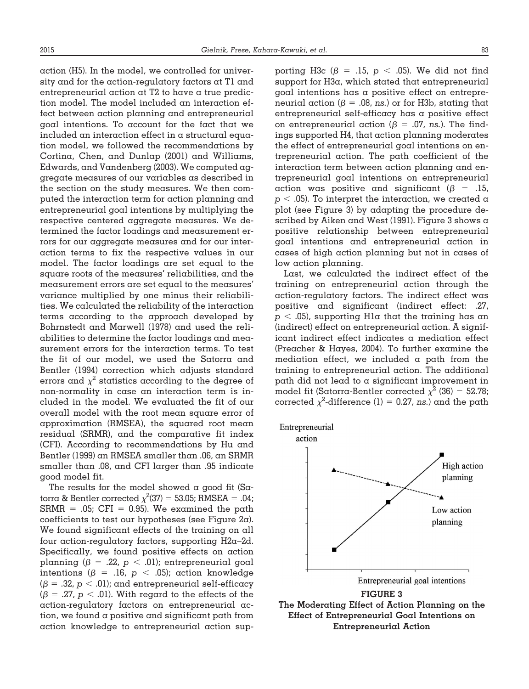action (H5). In the model, we controlled for university and for the action-regulatory factors at T1 and entrepreneurial action at T2 to have a true prediction model. The model included an interaction effect between action planning and entrepreneurial goal intentions. To account for the fact that we included an interaction effect in a structural equation model, we followed the recommendations by Cortina, Chen, and Dunlap (2001) and Williams, Edwards, and Vandenberg (2003). We computed aggregate measures of our variables as described in the section on the study measures. We then computed the interaction term for action planning and entrepreneurial goal intentions by multiplying the respective centered aggregate measures. We determined the factor loadings and measurement errors for our aggregate measures and for our interaction terms to fix the respective values in our model. The factor loadings are set equal to the square roots of the measures' reliabilities, and the measurement errors are set equal to the measures' variance multiplied by one minus their reliabilities. We calculated the reliability of the interaction terms according to the approach developed by Bohrnstedt and Marwell (1978) and used the reliabilities to determine the factor loadings and measurement errors for the interaction terms. To test the fit of our model, we used the Satorra and Bentler (1994) correction which adjusts standard errors and  $\chi^2$  statistics according to the degree of non-normality in case an interaction term is included in the model. We evaluated the fit of our overall model with the root mean square error of approximation (RMSEA), the squared root mean residual (SRMR), and the comparative fit index (CFI). According to recommendations by Hu and Bentler (1999) an RMSEA smaller than .06, an SRMR smaller than .08, and CFI larger than .95 indicate good model fit.

The results for the model showed  $\alpha$  good fit (Satorra & Bentler corrected  $\chi^2$ (37) = 53.05; RMSEA = .04;  $\mathrm{SRMR}$  = .05; CFI = 0.95). We examined the path coefficients to test our hypotheses (see Figure 2a). We found significant effects of the training on all four action-regulatory factors, supporting H2a–2d. Specifically, we found positive effects on action planning ( $\beta$  = .22,  $p$  < .01); entrepreneurial goal intentions ( $\beta$  = .16,  $p$   $<$  .05); action knowledge ( $\beta = .32$ ,  $p < .01$ ); and entrepreneurial self-efficacy ( $\beta$  = .27,  $p <$  .01). With regard to the effects of the action-regulatory factors on entrepreneurial action, we found a positive and significant path from action knowledge to entrepreneurial action supporting H3c ( $\beta$  = .15,  $p$  < .05). We did not find support for H3a, which stated that entrepreneurial goal intentions has a positive effect on entrepreneurial action ( $\beta$  = .08, *ns*.) or for H3b, stating that entrepreneurial self-efficacy has a positive effect on entrepreneurial action ( $\beta$  = .07, *ns*.). The findings supported H4, that action planning moderates the effect of entrepreneurial goal intentions on entrepreneurial action. The path coefficient of the interaction term between action planning and entrepreneurial goal intentions on entrepreneurial action was positive and significant ( $\beta$  = .15,  $p < .05$ ). To interpret the interaction, we created a plot (see Figure 3) by adapting the procedure described by Aiken and West (1991). Figure 3 shows a positive relationship between entrepreneurial goal intentions and entrepreneurial action in cases of high action planning but not in cases of low action planning.

Last, we calculated the indirect effect of the training on entrepreneurial action through the action-regulatory factors. The indirect effect was positive and significant (indirect effect: .27,  $p < .05$ ), supporting Hla that the training has an (indirect) effect on entrepreneurial action. A significant indirect effect indicates a mediation effect (Preacher & Hayes, 2004). To further examine the mediation effect, we included  $\alpha$  path from the training to entrepreneurial action. The additional path did not lead to a significant improvement in model fit (Satorra-Bentler corrected  $\chi^2$  (36) = 52.78; corrected  $\chi^2$ -difference (1) = 0.27, *ns*.) and the path

Entrepreneurial

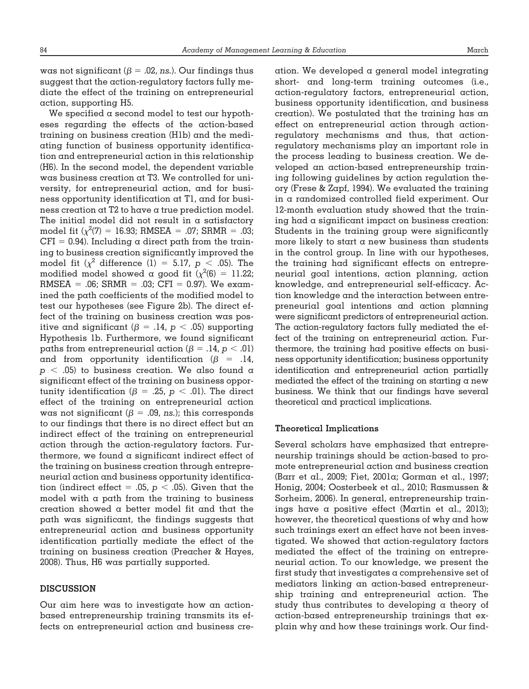was not significant ( $\beta$  = .02, *ns*.). Our findings thus suggest that the action-regulatory factors fully mediate the effect of the training on entrepreneurial action, supporting H5.

We specified a second model to test our hypotheses regarding the effects of the action-based training on business creation (H1b) and the mediating function of business opportunity identification and entrepreneurial action in this relationship (H6). In the second model, the dependent variable was business creation at T3. We controlled for university, for entrepreneurial action, and for business opportunity identification at T1, and for business creation at T2 to have a true prediction model. The initial model did not result in a satisfactory model fit ( $\chi^2(7) = 16.93$ ; RMSEA = .07; SRMR = .03;  $\mathrm{CFI}$  = 0.94). Including a direct path from the training to business creation significantly improved the model fit  $(\chi^2$  difference (1) = 5.17,  $p$  < .05). The modified model showed a good fit ( $\chi^2(6) = 11.22$ ;  $RMSEA = .06$ ;  $SRMR = .03$ ;  $CFI = 0.97$ ). We examined the path coefficients of the modified model to test our hypotheses (see Figure 2b). The direct effect of the training on business creation was positive and significant ( $\beta = .14$ ,  $p < .05$ ) supporting Hypothesis 1b. Furthermore, we found significant paths from entrepreneurial action ( $\beta = .14$ ,  $p < .01$ ) and from opportunity identification ( $\beta$  = .14,  $p < .05$ ) to business creation. We also found a significant effect of the training on business opportunity identification ( $\beta$  = .25,  $p$  < .01). The direct effect of the training on entrepreneurial action was not significant ( $\beta = .09$ , *ns.*); this corresponds to our findings that there is no direct effect but an indirect effect of the training on entrepreneurial action through the action-regulatory factors. Furthermore, we found a significant indirect effect of the training on business creation through entrepreneurial action and business opportunity identification (indirect effect = .05,  $p<$  .05). Given that the model with  $\alpha$  path from the training to business creation showed a better model fit and that the path was significant, the findings suggests that entrepreneurial action and business opportunity identification partially mediate the effect of the training on business creation (Preacher & Hayes, 2008). Thus, H6 was partially supported.

# **DISCUSSION**

Our aim here was to investigate how an actionbased entrepreneurship training transmits its effects on entrepreneurial action and business creation. We developed a general model integrating short- and long-term training outcomes (i.e., action-regulatory factors, entrepreneurial action, business opportunity identification, and business creation). We postulated that the training has an effect on entrepreneurial action through actionregulatory mechanisms and thus, that actionregulatory mechanisms play an important role in the process leading to business creation. We developed an action-based entrepreneurship training following guidelines by action regulation theory (Frese & Zapf, 1994). We evaluated the training in a randomized controlled field experiment. Our 12-month evaluation study showed that the training had a significant impact on business creation: Students in the training group were significantly more likely to start  $\alpha$  new business than students in the control group. In line with our hypotheses, the training had significant effects on entrepreneurial goal intentions, action planning, action knowledge, and entrepreneurial self-efficacy. Action knowledge and the interaction between entrepreneurial goal intentions and action planning were significant predictors of entrepreneurial action. The action-regulatory factors fully mediated the effect of the training on entrepreneurial action. Furthermore, the training had positive effects on business opportunity identification; business opportunity identification and entrepreneurial action partially mediated the effect of the training on starting  $\alpha$  new business. We think that our findings have several theoretical and practical implications.

#### **Theoretical Implications**

Several scholars have emphasized that entrepreneurship trainings should be action-based to promote entrepreneurial action and business creation (Barr et al., 2009; Fiet, 2001a; Gorman et al., 1997; Honig, 2004; Oosterbeek et al., 2010; Rasmussen & Sorheim, 2006). In general, entrepreneurship trainings have a positive effect (Martin et al., 2013); however, the theoretical questions of why and how such trainings exert an effect have not been investigated. We showed that action-regulatory factors mediated the effect of the training on entrepreneurial action. To our knowledge, we present the first study that investigates a comprehensive set of mediators linking an action-based entrepreneurship training and entrepreneurial action. The study thus contributes to developing a theory of action-based entrepreneurship trainings that explain why and how these trainings work. Our find-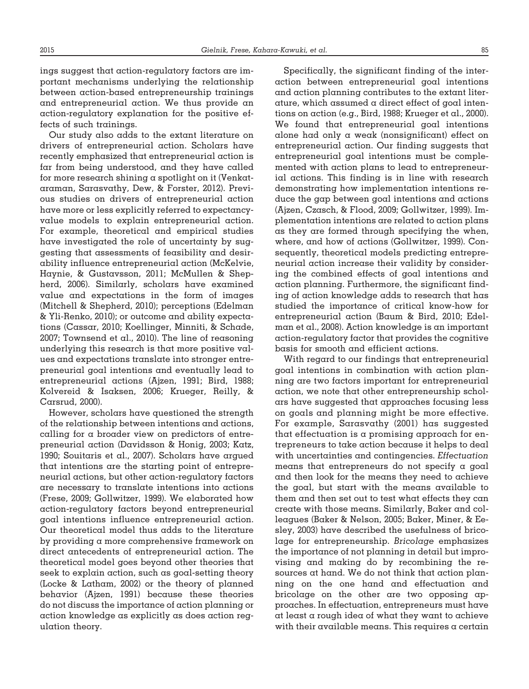ings suggest that action-regulatory factors are important mechanisms underlying the relationship between action-based entrepreneurship trainings and entrepreneurial action. We thus provide an action-regulatory explanation for the positive effects of such trainings.

Our study also adds to the extant literature on drivers of entrepreneurial action. Scholars have recently emphasized that entrepreneurial action is far from being understood, and they have called for more research shining a spotlight on it (Venkataraman, Sarasvathy, Dew, & Forster, 2012). Previous studies on drivers of entrepreneurial action have more or less explicitly referred to expectancyvalue models to explain entrepreneurial action. For example, theoretical and empirical studies have investigated the role of uncertainty by suggesting that assessments of feasibility and desirability influence entrepreneurial action (McKelvie, Haynie, & Gustavsson, 2011; McMullen & Shepherd, 2006). Similarly, scholars have examined value and expectations in the form of images (Mitchell & Shepherd, 2010); perceptions (Edelman & Yli-Renko, 2010); or outcome and ability expectations (Cassar, 2010; Koellinger, Minniti, & Schade, 2007; Townsend et al., 2010). The line of reasoning underlying this research is that more positive values and expectations translate into stronger entrepreneurial goal intentions and eventually lead to entrepreneurial actions (Ajzen, 1991; Bird, 1988; Kolvereid & Isaksen, 2006; Krueger, Reilly, & Carsrud, 2000).

However, scholars have questioned the strength of the relationship between intentions and actions, calling for a broader view on predictors of entrepreneurial action (Davidsson & Honig, 2003; Katz, 1990; Souitaris et al., 2007). Scholars have argued that intentions are the starting point of entrepreneurial actions, but other action-regulatory factors are necessary to translate intentions into actions (Frese, 2009; Gollwitzer, 1999). We elaborated how action-regulatory factors beyond entrepreneurial goal intentions influence entrepreneurial action. Our theoretical model thus adds to the literature by providing a more comprehensive framework on direct antecedents of entrepreneurial action. The theoretical model goes beyond other theories that seek to explain action, such as goal-setting theory (Locke & Latham, 2002) or the theory of planned behavior (Ajzen, 1991) because these theories do not discuss the importance of action planning or action knowledge as explicitly as does action regulation theory.

Specifically, the significant finding of the interaction between entrepreneurial goal intentions and action planning contributes to the extant literature, which assumed a direct effect of goal intentions on action (e.g., Bird, 1988; Krueger et al., 2000). We found that entrepreneurial goal intentions alone had only a weak (nonsignificant) effect on entrepreneurial action. Our finding suggests that entrepreneurial goal intentions must be complemented with action plans to lead to entrepreneurial actions. This finding is in line with research demonstrating how implementation intentions reduce the gap between goal intentions and actions (Ajzen, Czasch, & Flood, 2009; Gollwitzer, 1999). Implementation intentions are related to action plans as they are formed through specifying the when, where, and how of actions (Gollwitzer, 1999). Consequently, theoretical models predicting entrepreneurial action increase their validity by considering the combined effects of goal intentions and action planning. Furthermore, the significant finding of action knowledge adds to research that has studied the importance of critical know-how for entrepreneurial action (Baum & Bird, 2010; Edelman et al., 2008). Action knowledge is an important action-regulatory factor that provides the cognitive basis for smooth and efficient actions.

With regard to our findings that entrepreneurial goal intentions in combination with action planning are two factors important for entrepreneurial action, we note that other entrepreneurship scholars have suggested that approaches focusing less on goals and planning might be more effective. For example, Sarasvathy (2001) has suggested that effectuation is a promising approach for entrepreneurs to take action because it helps to deal with uncertainties and contingencies. *Effectuation* means that entrepreneurs do not specify a goal and then look for the means they need to achieve the goal, but start with the means available to them and then set out to test what effects they can create with those means. Similarly, Baker and colleagues (Baker & Nelson, 2005; Baker, Miner, & Eesley, 2003) have described the usefulness of bricolage for entrepreneurship. *Bricolage* emphasizes the importance of not planning in detail but improvising and making do by recombining the resources at hand. We do not think that action planning on the one hand and effectuation and bricolage on the other are two opposing approaches. In effectuation, entrepreneurs must have at least a rough idea of what they want to achieve with their available means. This requires a certain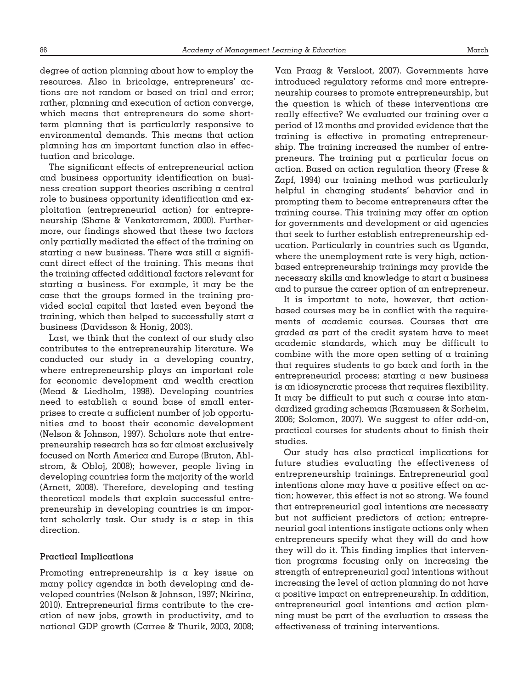degree of action planning about how to employ the resources. Also in bricolage, entrepreneurs' actions are not random or based on trial and error; rather, planning and execution of action converge, which means that entrepreneurs do some shortterm planning that is particularly responsive to environmental demands. This means that action planning has an important function also in effectuation and bricolage.

The significant effects of entrepreneurial action and business opportunity identification on business creation support theories ascribing a central role to business opportunity identification and exploitation (entrepreneurial action) for entrepreneurship (Shane & Venkataraman, 2000). Furthermore, our findings showed that these two factors only partially mediated the effect of the training on starting  $\alpha$  new business. There was still  $\alpha$  significant direct effect of the training. This means that the training affected additional factors relevant for starting a business. For example, it may be the case that the groups formed in the training provided social capital that lasted even beyond the training, which then helped to successfully start a business (Davidsson & Honig, 2003).

Last, we think that the context of our study also contributes to the entrepreneurship literature. We conducted our study in a developing country, where entrepreneurship plays an important role for economic development and wealth creation (Mead & Liedholm, 1998). Developing countries need to establish a sound base of small enterprises to create a sufficient number of job opportunities and to boost their economic development (Nelson & Johnson, 1997). Scholars note that entrepreneurship research has so far almost exclusively focused on North America and Europe (Bruton, Ahlstrom, & Obloj, 2008); however, people living in developing countries form the majority of the world (Arnett, 2008). Therefore, developing and testing theoretical models that explain successful entrepreneurship in developing countries is an important scholarly task. Our study is a step in this direction.

# **Practical Implications**

Promoting entrepreneurship is a key issue on many policy agendas in both developing and developed countries (Nelson & Johnson, 1997; Nkirina, 2010). Entrepreneurial firms contribute to the creation of new jobs, growth in productivity, and to national GDP growth (Carree & Thurik, 2003, 2008; Van Praag & Versloot, 2007). Governments have introduced regulatory reforms and more entrepreneurship courses to promote entrepreneurship, but the question is which of these interventions are really effective? We evaluated our training over a period of 12 months and provided evidence that the training is effective in promoting entrepreneurship. The training increased the number of entrepreneurs. The training put a particular focus on action. Based on action regulation theory (Frese & Zapf, 1994) our training method was particularly helpful in changing students' behavior and in prompting them to become entrepreneurs after the training course. This training may offer an option for governments and development or aid agencies that seek to further establish entrepreneurship education. Particularly in countries such as Uganda, where the unemployment rate is very high, actionbased entrepreneurship trainings may provide the necessary skills and knowledge to start a business and to pursue the career option of an entrepreneur.

It is important to note, however, that actionbased courses may be in conflict with the requirements of academic courses. Courses that are graded as part of the credit system have to meet academic standards, which may be difficult to combine with the more open setting of  $\alpha$  training that requires students to go back and forth in the entrepreneurial process; starting  $\alpha$  new business is an idiosyncratic process that requires flexibility. It may be difficult to put such  $\alpha$  course into standardized grading schemas (Rasmussen & Sorheim, 2006; Solomon, 2007). We suggest to offer add-on, practical courses for students about to finish their studies.

Our study has also practical implications for future studies evaluating the effectiveness of entrepreneurship trainings. Entrepreneurial goal intentions alone may have a positive effect on action; however, this effect is not so strong. We found that entrepreneurial goal intentions are necessary but not sufficient predictors of action; entrepreneurial goal intentions instigate actions only when entrepreneurs specify what they will do and how they will do it. This finding implies that intervention programs focusing only on increasing the strength of entrepreneurial goal intentions without increasing the level of action planning do not have a positive impact on entrepreneurship. In addition, entrepreneurial goal intentions and action planning must be part of the evaluation to assess the effectiveness of training interventions.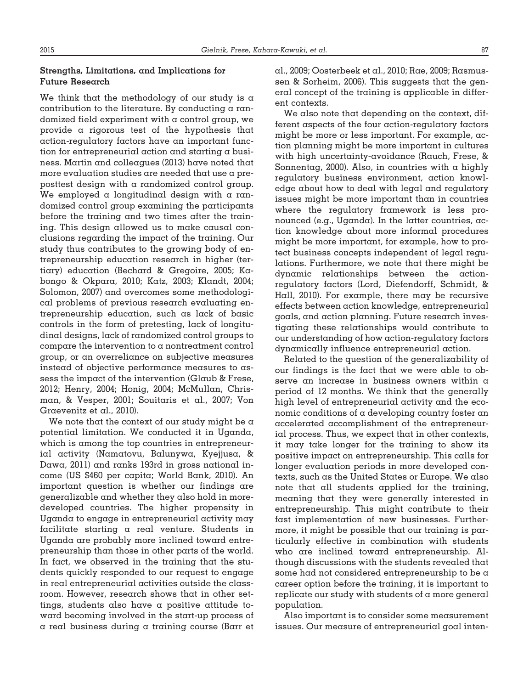#### **Strengths, Limitations, and Implications for Future Research**

We think that the methodology of our study is  $\alpha$ contribution to the literature. By conducting a randomized field experiment with a control group, we provide a rigorous test of the hypothesis that action-regulatory factors have an important function for entrepreneurial action and starting a business. Martin and colleagues (2013) have noted that more evaluation studies are needed that use a preposttest design with a randomized control group. We employed a longitudinal design with a randomized control group examining the participants before the training and two times after the training. This design allowed us to make causal conclusions regarding the impact of the training. Our study thus contributes to the growing body of entrepreneurship education research in higher (tertiary) education (Bechard & Gregoire, 2005; Kabongo & Okpara, 2010; Katz, 2003; Klandt, 2004; Solomon, 2007) and overcomes some methodological problems of previous research evaluating entrepreneurship education, such as lack of basic controls in the form of pretesting, lack of longitudinal designs, lack of randomized control groups to compare the intervention to  $\alpha$  nontreatment control group, or an overreliance on subjective measures instead of objective performance measures to assess the impact of the intervention (Glaub & Frese, 2012; Henry, 2004; Honig, 2004; McMullan, Chrisman, & Vesper, 2001; Souitaris et al., 2007; Von Graevenitz et al., 2010).

We note that the context of our study might be  $\alpha$ potential limitation. We conducted it in Uganda, which is among the top countries in entrepreneurial activity (Namatovu, Balunywa, Kyejjusa, & Dawa, 2011) and ranks 193rd in gross national income (US \$460 per capita; World Bank, 2010). An important question is whether our findings are generalizable and whether they also hold in moredeveloped countries. The higher propensity in Uganda to engage in entrepreneurial activity may facilitate starting a real venture. Students in Uganda are probably more inclined toward entrepreneurship than those in other parts of the world. In fact, we observed in the training that the students quickly responded to our request to engage in real entrepreneurial activities outside the classroom. However, research shows that in other settings, students also have a positive attitude toward becoming involved in the start-up process of a real business during a training course (Barr et

al., 2009; Oosterbeek et al., 2010; Rae, 2009; Rasmussen & Sorheim, 2006). This suggests that the general concept of the training is applicable in different contexts.

We also note that depending on the context, different aspects of the four action-regulatory factors might be more or less important. For example, action planning might be more important in cultures with high uncertainty-avoidance (Rauch, Frese, & Sonnentag, 2000). Also, in countries with  $\alpha$  highly regulatory business environment, action knowledge about how to deal with legal and regulatory issues might be more important than in countries where the regulatory framework is less pronounced (e.g., Uganda). In the latter countries, action knowledge about more informal procedures might be more important, for example, how to protect business concepts independent of legal regulations. Furthermore, we note that there might be dynamic relationships between the actionregulatory factors (Lord, Diefendorff, Schmidt, & Hall, 2010). For example, there may be recursive effects between action knowledge, entrepreneurial goals, and action planning. Future research investigating these relationships would contribute to our understanding of how action-regulatory factors dynamically influence entrepreneurial action.

Related to the question of the generalizability of our findings is the fact that we were able to observe an increase in business owners within a period of 12 months. We think that the generally high level of entrepreneurial activity and the economic conditions of a developing country foster an accelerated accomplishment of the entrepreneurial process. Thus, we expect that in other contexts, it may take longer for the training to show its positive impact on entrepreneurship. This calls for longer evaluation periods in more developed contexts, such as the United States or Europe. We also note that all students applied for the training, meaning that they were generally interested in entrepreneurship. This might contribute to their fast implementation of new businesses. Furthermore, it might be possible that our training is particularly effective in combination with students who are inclined toward entrepreneurship. Although discussions with the students revealed that some had not considered entrepreneurship to be a career option before the training, it is important to replicate our study with students of a more general population.

Also important is to consider some measurement issues. Our measure of entrepreneurial goal inten-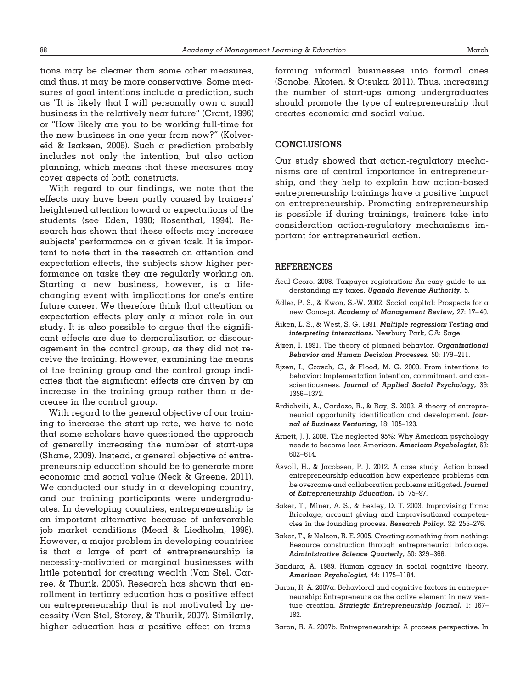tions may be cleaner than some other measures, and thus, it may be more conservative. Some measures of goal intentions include a prediction, such as "It is likely that I will personally own a small business in the relatively near future" (Crant, 1996) or "How likely are you to be working full-time for the new business in one year from now?" (Kolvereid & Isaksen, 2006). Such a prediction probably includes not only the intention, but also action planning, which means that these measures may cover aspects of both constructs.

With regard to our findings, we note that the effects may have been partly caused by trainers' heightened attention toward or expectations of the students (see Eden, 1990; Rosenthal, 1994). Research has shown that these effects may increase subjects' performance on a given task. It is important to note that in the research on attention and expectation effects, the subjects show higher performance on tasks they are regularly working on. Starting a new business, however, is a lifechanging event with implications for one's entire future career. We therefore think that attention or expectation effects play only a minor role in our study. It is also possible to argue that the significant effects are due to demoralization or discouragement in the control group, as they did not receive the training. However, examining the means of the training group and the control group indicates that the significant effects are driven by an increase in the training group rather than  $\alpha$  decrease in the control group.

With regard to the general objective of our training to increase the start-up rate, we have to note that some scholars have questioned the approach of generally increasing the number of start-ups (Shane, 2009). Instead, a general objective of entrepreneurship education should be to generate more economic and social value (Neck & Greene, 2011). We conducted our study in a developing country, and our training participants were undergraduates. In developing countries, entrepreneurship is an important alternative because of unfavorable job market conditions (Mead & Liedholm, 1998). However, a major problem in developing countries is that a large of part of entrepreneurship is necessity-motivated or marginal businesses with little potential for creating wealth (Van Stel, Carree, & Thurik, 2005). Research has shown that enrollment in tertiary education has a positive effect on entrepreneurship that is not motivated by necessity (Van Stel, Storey, & Thurik, 2007). Similarly, higher education has a positive effect on transforming informal businesses into formal ones (Sonobe, Akoten, & Otsuka, 2011). Thus, increasing the number of start-ups among undergraduates should promote the type of entrepreneurship that creates economic and social value.

# **CONCLUSIONS**

Our study showed that action-regulatory mechanisms are of central importance in entrepreneurship, and they help to explain how action-based entrepreneurship trainings have a positive impact on entrepreneurship. Promoting entrepreneurship is possible if during trainings, trainers take into consideration action-regulatory mechanisms important for entrepreneurial action.

#### **REFERENCES**

- Acul-Ocoro. 2008. Taxpayer registration: An easy guide to understanding my taxes. *Uganda Revenue Authority,* 5.
- Adler, P. S., & Kwon, S.-W. 2002. Social capital: Prospects for a new Concept. *Academy of Management Review,* 27: 17– 40.
- Aiken, L. S., & West, S. G. 1991. *Multiple regression: Testing and interpreting interactions.* Newbury Park, CA: Sage.
- Ajzen, I. 1991. The theory of planned behavior. *Organizational Behavior and Human Decision Processes,* 50: 179 –211.
- Ajzen, I., Czasch, C., & Flood, M. G. 2009. From intentions to behavior: Implementation intention, commitment, and conscientiousness. *Journal of Applied Social Psychology,* 39: 1356 –1372.
- Ardichvili, A., Cardozo, R., & Ray, S. 2003. A theory of entrepreneurial opportunity identification and development. *Journal of Business Venturing,* 18: 105–123.
- Arnett, J. J. 2008. The neglected 95%: Why American psychology needs to become less American. *American Psychologist,* 63: 602– 614.
- Asvoll, H., & Jacobsen, P. J. 2012. A case study: Action based entrepreneurship education how experience problems can be overcome and collaboration problems mitigated. *Journal of Entrepreneurship Education,* 15: 75–97.
- Baker, T., Miner, A. S., & Eesley, D. T. 2003. Improvising firms: Bricolage, account giving and improvisational competencies in the founding process. *Research Policy,* 32: 255–276.
- Baker, T., & Nelson, R. E. 2005. Creating something from nothing: Resource construction through entrepreneurial bricolage. *Administrative Science Quarterly,* 50: 329 –366.
- Bandura, A. 1989. Human agency in social cognitive theory. *American Psychologist,* 44: 1175–1184.
- Baron, R. A. 2007a. Behavioral and cognitive factors in entrepreneurship: Entrepreneurs as the active element in new venture creation. *Strategic Entrepreneurship Journal,* 1: 167– 182.
- Baron, R. A. 2007b. Entrepreneurship: A process perspective. In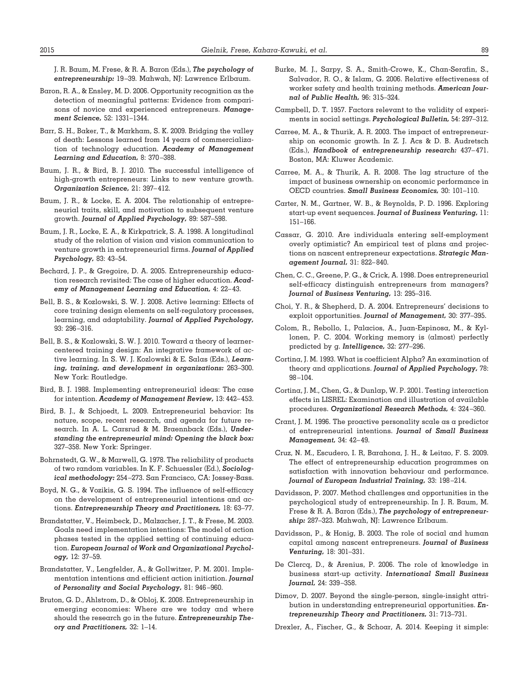J. R. Baum, M. Frese, & R. A. Baron (Eds.), *The psychology of entrepreneurship:* 19 –39. Mahwah, NJ: Lawrence Erlbaum.

- Baron, R. A., & Ensley, M. D. 2006. Opportunity recognition as the detection of meaningful patterns: Evidence from comparisons of novice and experienced entrepreneurs. *Management Science,* 52: 1331–1344.
- Barr, S. H., Baker, T., & Markham, S. K. 2009. Bridging the valley of death: Lessons learned from 14 years of commercialization of technology education. *Academy of Management Learning and Education,* 8: 370 –388.
- Baum, J. R., & Bird, B. J. 2010. The successful intelligence of high-growth entrepreneurs: Links to new venture growth. *Organization Science,* 21: 397– 412.
- Baum, J. R., & Locke, E. A. 2004. The relationship of entrepreneurial traits, skill, and motivation to subsequent venture growth. *Journal of Applied Psychology,* 89: 587–598.
- Baum, J. R., Locke, E. A., & Kirkpatrick, S. A. 1998. A longitudinal study of the relation of vision and vision communication to venture growth in entrepreneurial firms. *Journal of Applied Psychology,* 83: 43–54.
- Bechard, J. P., & Gregoire, D. A. 2005. Entrepreneurship education research revisited: The case of higher education. *Academy of Management Learning and Education,* 4: 22– 43.
- Bell, B. S., & Kozlowski, S. W. J. 2008. Active learning: Effects of core training design elements on self-regulatory processes, learning, and adaptability. *Journal of Applied Psychology,* 93: 296 –316.
- Bell, B. S., & Kozlowski, S. W. J. 2010. Toward a theory of learnercentered training design: An integrative framework of active learning. In S. W. J. Kozlowski & E. Salas (Eds.), *Learning, training, and development in organizations:* 263–300. New York: Routledge.
- Bird, B. J. 1988. Implementing entrepreneurial ideas: The case for intention. *Academy of Management Review,* 13: 442– 453.
- Bird, B. J., & Schjoedt, L. 2009. Entrepreneurial behavior: Its nature, scope, recent research, and agenda for future research. In A. L. Carsrud & M. Braennback (Eds.), *Understanding the entrepreneurial mind: Opening the black box:* 327–358. New York: Springer.
- Bohrnstedt, G. W., & Marwell, G. 1978. The reliability of products of two random variables. In K. F. Schuessler (Ed.), *Sociological methodology:* 254 –273. San Francisco, CA: Jossey-Bass.
- Boyd, N. G., & Vozikis, G. S. 1994. The influence of self-efficacy on the development of entrepreneurial intentions and actions. *Entrepreneurship Theory and Practitioners,* 18: 63–77.
- Brandstatter, V., Heimbeck, D., Malzacher, J. T., & Frese, M. 2003. Goals need implementation intentions: The model of action phases tested in the applied setting of continuing education. *European Journal of Work and Organizational Psychology,* 12: 37–59.
- Brandstatter, V., Lengfelder, A., & Gollwitzer, P. M. 2001. Implementation intentions and efficient action initiation. *Journal of Personality and Social Psychology,* 81: 946 –960.
- Bruton, G. D., Ahlstrom, D., & Obloj, K. 2008. Entrepreneurship in emerging economies: Where are we today and where should the research go in the future. *Entrepreneurship Theory and Practitioners,* 32: 1–14.
- Burke, M. J., Sarpy, S. A., Smith-Crowe, K., Chan-Serafin, S., Salvador, R. O., & Islam, G. 2006. Relative effectiveness of worker safety and health training methods. *American Journal of Public Health,* 96: 315–324.
- Campbell, D. T. 1957. Factors relevant to the validity of experiments in social settings. *Psychological Bulletin,* 54: 297–312.
- Carree, M. A., & Thurik, A. R. 2003. The impact of entrepreneurship on economic growth. In Z. J. Acs & D. B. Audretsch (Eds.), *Handbook of entrepreneurship research:* 437– 471. Boston, MA: Kluwer Academic.
- Carree, M. A., & Thurik, A. R. 2008. The lag structure of the impact of business ownership on economic performance in OECD countries. *Small Business Economics,* 30: 101–110.
- Carter, N. M., Gartner, W. B., & Reynolds, P. D. 1996. Exploring start-up event sequences. *Journal of Business Venturing,* 11: 151–166.
- Cassar, G. 2010. Are individuals entering self-employment overly optimistic? An empirical test of plans and projections on nascent entrepreneur expectations. *Strategic Management Journal,* 31: 822– 840.
- Chen, C. C., Greene, P. G., & Crick, A. 1998. Does entrepreneurial self-efficacy distinguish entrepreneurs from managers? *Journal of Business Venturing,* 13: 295–316.
- Choi, Y. R., & Shepherd, D. A. 2004. Entrepreneurs' decisions to exploit opportunities. *Journal of Management,* 30: 377–395.
- Colom, R., Rebollo, I., Palacios, A., Juan-Espinosa, M., & Kyllonen, P. C. 2004. Working memory is (almost) perfectly predicted by g. *Intelligence,* 32: 277–296.
- Cortina, J. M. 1993. What is coefficient Alpha? An examination of theory and applications. *Journal of Applied Psychology,* 78: 98 –104.
- Cortina, J. M., Chen, G., & Dunlap, W. P. 2001. Testing interaction effects in LISREL: Examination and illustration of available procedures. *Organizational Research Methods,* 4: 324 –360.
- Crant, J. M. 1996. The proactive personality scale as a predictor of entrepreneurial intentions. *Journal of Small Business Management,* 34: 42– 49.
- Cruz, N. M., Escudero, I. R, Barahona, J. H., & Leitao, F. S. 2009. The effect of entrepreneurship education programmes on satisfaction with innovation behaviour and performance. *Journal of European Industrial Training,* 33: 198 –214.
- Davidsson, P. 2007. Method challenges and opportunities in the psychological study of entrepreneurship. In J. R. Baum, M. Frese & R. A. Baron (Eds.), *The psychology of entrepreneurship:* 287–323. Mahwah, NJ: Lawrence Erlbaum.
- Davidsson, P., & Honig, B. 2003. The role of social and human capital among nascent entrepreneurs. *Journal of Business Venturing,* 18: 301–331.
- De Clercq, D., & Arenius, P. 2006. The role of knowledge in business start-up activity. *International Small Business Journal,* 24: 339 –358.
- Dimov, D. 2007. Beyond the single-person, single-insight attribution in understanding entrepreneurial opportunities. *Entrepreneurship Theory and Practitioners,* 31: 713–731.
- Drexler, A., Fischer, G., & Schoar, A. 2014. Keeping it simple: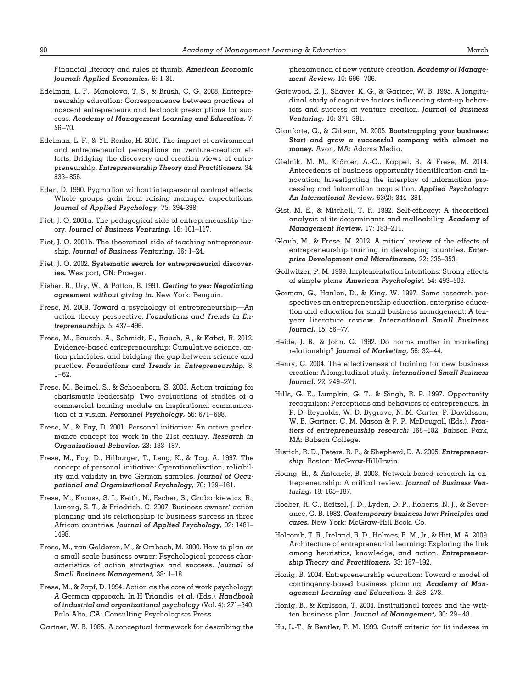Financial literacy and rules of thumb. *American Economic Journal: Applied Economics,* 6: 1-31.

- Edelman, L. F., Manolova, T. S., & Brush, C. G. 2008. Entrepreneurship education: Correspondence between practices of nascent entrepreneurs and textbook prescriptions for success. *Academy of Management Learning and Education,* 7: 56 –70.
- Edelman, L. F., & Yli-Renko, H. 2010. The impact of environment and entrepreneurial perceptions on venture-creation efforts: Bridging the discovery and creation views of entrepreneurship. *Entrepreneurship Theory and Practitioners,* 34: 833– 856.
- Eden, D. 1990. Pygmalion without interpersonal contrast effects: Whole groups gain from raising manager expectations. *Journal of Applied Psychology*, 75: 394-398.
- Fiet, J. O. 2001a. The pedagogical side of entrepreneurship theory. *Journal of Business Venturing,* 16: 101–117.
- Fiet, J. O. 2001b. The theoretical side of teaching entrepreneurship. *Journal of Business Venturing,* 16: 1–24.
- Fiet, J. O. 2002. **Systematic search for entrepreneurial discoveries***.* Westport, CN: Praeger.
- Fisher, R., Ury, W., & Patton, B. 1991. *Getting to yes: Negotiating agreement without giving in.* New York: Penguin.
- Frese, M. 2009. Toward a psychology of entrepreneurship—An action theory perspective. *Foundations and Trends in Entrepreneurship,* 5: 437– 496.
- Frese, M., Bausch, A., Schmidt, P., Rauch, A., & Kabst, R. 2012. Evidence-based entrepreneurship: Cumulative science, action principles, and bridging the gap between science and practice. *Foundations and Trends in Entrepreneurship,* 8:  $1 - 62.$
- Frese, M., Beimel, S., & Schoenborn, S. 2003. Action training for charismatic leadership: Two evaluations of studies of a commercial training module on inspirational communication of a vision. *Personnel Psychology,* 56: 671– 698.
- Frese, M., & Fay, D. 2001. Personal initiative: An active performance concept for work in the 21st century. *Research in Organizational Behavior,* 23: 133–187.
- Frese, M., Fay, D., Hilburger, T., Leng, K., & Tag, A. 1997. The concept of personal initiative: Operationalization, reliability and validity in two German samples. *Journal of Occupational and Organizational Psychology,* 70: 139 –161.
- Frese, M., Krauss, S. I., Keith, N., Escher, S., Grabarkiewicz, R., Luneng, S. T., & Friedrich, C. 2007. Business owners' action planning and its relationship to business success in three African countries. *Journal of Applied Psychology,* 92: 1481– 1498.
- Frese, M., van Gelderen, M., & Ombach, M. 2000. How to plan as a small scale business owner: Psychological process characteristics of action strategies and success. *Journal of Small Business Management,* 38: 1–18.
- Frese, M., & Zapf, D. 1994. Action as the core of work psychology: A German approach. In H Triandis. et al. (Eds.), *Handbook of industrial and organizational psychology* (Vol. 4): 271–340. Palo Alto, CA: Consulting Psychologists Press.
- Gartner, W. B. 1985. A conceptual framework for describing the

phenomenon of new venture creation. *Academy of Management Review,* 10: 696 –706.

- Gatewood, E. J., Shaver, K. G., & Gartner, W. B. 1995. A longitudinal study of cognitive factors influencing start-up behaviors and success at venture creation. *Journal of Business Venturing,* 10: 371–391.
- Gianforte, G., & Gibson, M. 2005. **Bootstrapping your business: Start and grow a successful company with almost no money***.* Avon, MA: Adams Media.
- Gielnik, M. M., Krämer, A.-C., Kappel, B., & Frese, M. 2014. Antecedents of business opportunity identification and innovation: Investigating the interplay of information processing and information acquisition. *Applied Psychology: An International Review,* 63(2): 344 –381.
- Gist, M. E., & Mitchell, T. R. 1992. Self-efficacy: A theoretical analysis of its determinants and malleability. *Academy of Management Review,* 17: 183–211.
- Glaub, M., & Frese, M. 2012. A critical review of the effects of entrepreneurship training in developing countries. *Enterprise Development and Microfinance,* 22: 335–353.
- Gollwitzer, P. M. 1999. Implementation intentions: Strong effects of simple plans. *American Psychologist,* 54: 493–503.
- Gorman, G., Hanlon, D., & King, W. 1997. Some research perspectives on entrepreneurship education, enterprise education and education for small business management: A tenyear literature review. *International Small Business Journal,* 15: 56 –77.
- Heide, J. B., & John, G. 1992. Do norms matter in marketing relationship? *Journal of Marketing,* 56: 32– 44.
- Henry, C. 2004. The effectiveness of training for new business creation: A longitudinal study. *International Small Business Journal,* 22: 249 –271.
- Hills, G. E., Lumpkin, G. T., & Singh, R. P. 1997. Opportunity recognition: Perceptions and behaviors of entrepreneurs. In P. D. Reynolds, W. D. Bygrave, N. M. Carter, P. Davidsson, W. B. Gartner, C. M. Mason & P. P. McDougall (Eds.), *Frontiers of entrepreneurship research:* 168 –182. Babson Park, MA: Babson College.
- Hisrich, R. D., Peters, R. P., & Shepherd, D. A. 2005. *Entrepreneurship.* Boston: McGraw-Hill/Irwin.
- Hoang, H., & Antoncic, B. 2003. Network-based research in entrepreneurship: A critical review. *Journal of Business Venturing,* 18: 165–187.
- Hoeber, R. C., Reitzel, J. D., Lyden, D. P., Roberts, N. J., & Severance, G. B. 1982. *Contemporary business law: Principles and cases.* New York: McGraw-Hill Book, Co.
- Holcomb, T. R., Ireland, R. D., Holmes, R. M., Jr., & Hitt, M. A. 2009. Architecture of entrepreneurial learning: Exploring the link among heuristics, knowledge, and action. *Entrepreneurship Theory and Practitioners,* 33: 167–192.
- Honig, B. 2004. Entrepreneurship education: Toward a model of contingency-based business planning. *Academy of Management Learning and Education,* 3: 258 –273.
- Honig, B., & Karlsson, T. 2004. Institutional forces and the written business plan. *Journal of Management,* 30: 29 – 48.
- Hu, L.-T., & Bentler, P. M. 1999. Cutoff criteria for fit indexes in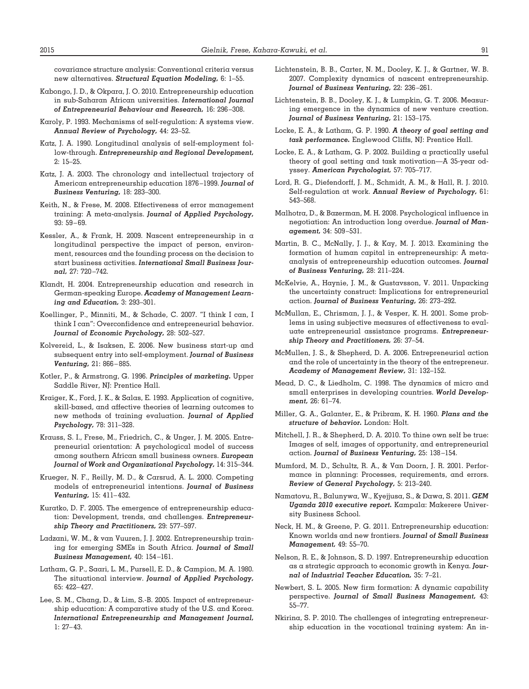covariance structure analysis: Conventional criteria versus new alternatives. *Structural Equation Modeling,* 6: 1–55.

- Kabongo, J. D., & Okpara, J. O. 2010. Entrepreneurship education in sub-Saharan African universities. *International Journal of Entrepreneurial Behaviour and Research,* 16: 296 –308.
- Karoly, P. 1993. Mechanisms of self-regulation: A systems view. *Annual Review of Psychology,* 44: 23–52.
- Katz, J. A. 1990. Longitudinal analysis of self-employment follow-through. *Entrepreneurship and Regional Development,* 2: 15–25.
- Katz, J. A. 2003. The chronology and intellectual trajectory of American entrepreneurship education 1876 –1999. *Journal of Business Venturing,* 18: 283–300.
- Keith, N., & Frese, M. 2008. Effectiveness of error management training: A meta-analysis. *Journal of Applied Psychology,* 93: 59 – 69.
- Kessler, A., & Frank, H. 2009. Nascent entrepreneurship in a longitudinal perspective the impact of person, environment, resources and the founding process on the decision to start business activities. *International Small Business Journal,* 27: 720 –742.
- Klandt, H. 2004. Entrepreneurship education and research in German-speaking Europe. *Academy of Management Learning and Education,* 3: 293–301.
- Koellinger, P., Minniti, M., & Schade, C. 2007. "I think I can, I think I can": Overconfidence and entrepreneurial behavior. *Journal of Economic Psychology,* 28: 502–527.
- Kolvereid, L., & Isaksen, E. 2006. New business start-up and subsequent entry into self-employment. *Journal of Business Venturing,* 21: 866 – 885.
- Kotler, P., & Armstrong, G. 1996. *Principles of marketing.* Upper Saddle River, NJ: Prentice Hall.
- Kraiger, K., Ford, J. K., & Salas, E. 1993. Application of cognitive, skill-based, and affective theories of learning outcomes to new methods of training evaluation. *Journal of Applied Psychology,* 78: 311–328.
- Krauss, S. I., Frese, M., Friedrich, C., & Unger, J. M. 2005. Entrepreneurial orientation: A psychological model of success among southern African small business owners. *European Journal of Work and Organizational Psychology,* 14: 315–344.
- Krueger, N. F., Reilly, M. D., & Carsrud, A. L. 2000. Competing models of entrepreneurial intentions. *Journal of Business Venturing,* 15: 411– 432.
- Kuratko, D. F. 2005. The emergence of entrepreneurship education: Development, trends, and challenges. *Entrepreneurship Theory and Practitioners,* 29: 577–597.
- Ladzani, W. M., & van Vuuren, J. J. 2002. Entrepreneurship training for emerging SMEs in South Africa. *Journal of Small Business Management,* 40: 154 –161.
- Latham, G. P., Saari, L. M., Pursell, E. D., & Campion, M. A. 1980. The situational interview. *Journal of Applied Psychology,* 65: 422– 427.
- Lee, S. M., Chang, D., & Lim, S.-B. 2005. Impact of entrepreneurship education: A comparative study of the U.S. and Korea. *International Entrepreneurship and Management Journal,* 1: 27– 43.
- Lichtenstein, B. B., Carter, N. M., Dooley, K. J., & Gartner, W. B. 2007. Complexity dynamics of nascent entrepreneurship. *Journal of Business Venturing,* 22: 236 –261.
- Lichtenstein, B. B., Dooley, K. J., & Lumpkin, G. T. 2006. Measuring emergence in the dynamics of new venture creation. *Journal of Business Venturing,* 21: 153–175.
- Locke, E. A., & Latham, G. P. 1990. *A theory of goal setting and task performance.* Englewood Cliffs, NJ: Prentice Hall.
- Locke, E. A., & Latham, G. P. 2002. Building a practically useful theory of goal setting and task motivation—A 35-year odyssey. *American Psychologist,* 57: 705–717.
- Lord, R. G., Diefendorff, J. M., Schmidt, A. M., & Hall, R. J. 2010. Self-regulation at work. *Annual Review of Psychology,* 61: 543–568.
- Malhotra, D., & Bazerman, M. H. 2008. Psychological influence in negotiation: An introduction long overdue. *Journal of Management,* 34: 509 –531.
- Martin, B. C., McNally, J. J., & Kay, M. J. 2013. Examining the formation of human capital in entrepreneurship: A metaanalysis of entrepreneurship education outcomes. *Journal of Business Venturing,* 28: 211–224.
- McKelvie, A., Haynie, J. M., & Gustavsson, V. 2011. Unpacking the uncertainty construct: Implications for entrepreneurial action. *Journal of Business Venturing,* 26: 273–292.
- McMullan, E., Chrisman, J. J., & Vesper, K. H. 2001. Some problems in using subjective measures of effectiveness to evaluate entrepreneurial assistance programs. *Entrepreneurship Theory and Practitioners,* 26: 37–54.
- McMullen, J. S., & Shepherd, D. A. 2006. Entrepreneurial action and the role of uncertainty in the theory of the entrepreneur. *Academy of Management Review,* 31: 132–152.
- Mead, D. C., & Liedholm, C. 1998. The dynamics of micro and small enterprises in developing countries. *World Development,* 26: 61–74.
- Miller, G. A., Galanter, E., & Pribram, K. H. 1960. *Plans and the structure of behavior.* London: Holt.
- Mitchell, J. R., & Shepherd, D. A. 2010. To thine own self be true: Images of self, images of opportunity, and entrepreneurial action. *Journal of Business Venturing,* 25: 138 –154.
- Mumford, M. D., Schultz, R. A., & Van Doorn, J. R. 2001. Performance in planning: Processes, requirements, and errors. *Review of General Psychology,* 5: 213–240.
- Namatovu, R., Balunywa, W., Kyejjusa, S., & Dawa, S. 2011. *GEM Uganda 2010 executive report.* Kampala: Makerere University Business School.
- Neck, H. M., & Greene, P. G. 2011. Entrepreneurship education: Known worlds and new frontiers. *Journal of Small Business Management,* 49: 55–70.
- Nelson, R. E., & Johnson, S. D. 1997. Entrepreneurship education as a strategic approach to economic growth in Kenya. *Journal of Industrial Teacher Education,* 35: 7–21.
- Newbert, S. L. 2005. New firm formation: A dynamic capability perspective. *Journal of Small Business Management,* 43: 55–77.
- Nkirina, S. P. 2010. The challenges of integrating entrepreneurship education in the vocational training system: An in-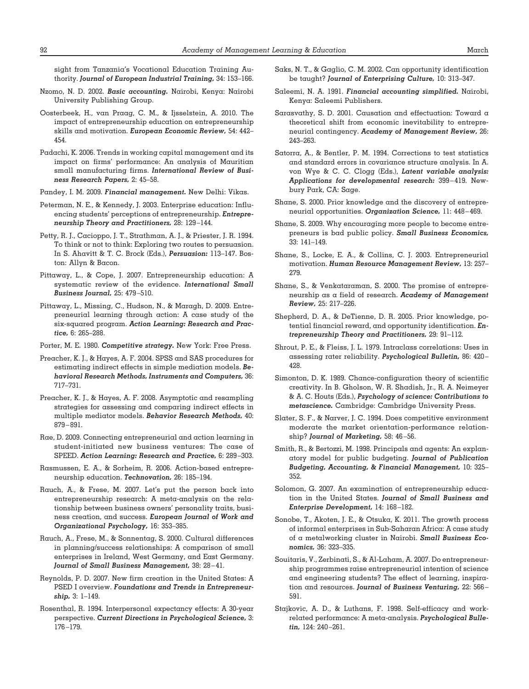sight from Tanzania's Vocational Education Training Authority. *Journal of European Industrial Training,* 34: 153–166.

- Nzomo, N. D. 2002. *Basic accounting.* Nairobi, Kenya: Nairobi University Publishing Group.
- Oosterbeek, H., van Praag, C. M., & Ijsselstein, A. 2010. The impact of entrepreneurship education on entrepreneurship skills and motivation. *European Economic Review,* 54: 442– 454.
- Padachi, K. 2006. Trends in working capital management and its impact on firms' performance: An analysis of Mauritian small manufacturing firms. *International Review of Business Research Papers,* 2: 45–58.
- Pandey, I. M. 2009. *Financial management.* New Delhi: Vikas.
- Peterman, N. E., & Kennedy, J. 2003. Enterprise education: Influencing students' perceptions of entrepreneurship. *Entrepreneurship Theory and Practitioners,* 28: 129 –144.
- Petty, R. J., Cacioppo, J. T., Strathman, A. J., & Priester, J. R. 1994. To think or not to think: Exploring two routes to persuasion. In S. Ahavitt & T. C. Brock (Eds.), *Persuasion:* 113–147. Boston: Allyn & Bacon.
- Pittaway, L., & Cope, J. 2007. Entrepreneurship education: A systematic review of the evidence. *International Small Business Journal,* 25: 479 –510.
- Pittaway, L., Missing, C., Hudson, N., & Maragh, D. 2009. Entrepreneurial learning through action: A case study of the six-squared program. *Action Learning: Research and Practice,* 6: 265–288.
- Porter, M. E. 1980. *Competitive strategy.* New York: Free Press.
- Preacher, K. J., & Hayes, A. F. 2004. SPSS and SAS procedures for estimating indirect effects in simple mediation models. *Behavioral Research Methods, Instruments and Computers,* 36: 717–731.
- Preacher, K. J., & Hayes, A. F. 2008. Asymptotic and resampling strategies for assessing and comparing indirect effects in multiple mediator models. *Behavior Research Methods,* 40: 879 – 891.
- Rae, D. 2009. Connecting entrepreneurial and action learning in student-initiated new business ventures: The case of SPEED. *Action Learning: Research and Practice,* 6: 289 –303.
- Rasmussen, E. A., & Sorheim, R. 2006. Action-based entrepreneurship education. *Technovation,* 26: 185–194.
- Rauch, A., & Frese, M. 2007. Let's put the person back into entrepreneurship research: A meta-analysis on the relationship between business owners' personality traits, business creation, and success. *European Journal of Work and Organizational Psychology,* 16: 353–385.
- Rauch, A., Frese, M., & Sonnentag, S. 2000. Cultural differences in planning/success relationships: A comparison of small enterprises in Ireland, West Germany, and East Germany. *Journal of Small Business Management,* 38: 28 – 41.
- Reynolds, P. D. 2007. New firm creation in the United States: A PSED I overview. *Foundations and Trends in Entrepreneurship,* 3: 1–149.
- Rosenthal, R. 1994. Interpersonal expectancy effects: A 30-year perspective. *Current Directions in Psychological Science,* 3: 176 –179.
- Saks, N. T., & Gaglio, C. M. 2002. Can opportunity identification be taught? *Journal of Enterprising Culture,* 10: 313–347.
- Saleemi, N. A. 1991. *Financial accounting simplified.* Nairobi, Kenya: Saleemi Publishers.
- Sarasvathy, S. D. 2001. Causation and effectuation: Toward a theoretical shift from economic inevitability to entrepreneurial contingency. *Academy of Management Review,* 26: 243–263.
- Satorra, A., & Bentler, P. M. 1994. Corrections to test statistics and standard errors in covariance structure analysis. In A. von Wye & C. C. Clogg (Eds.), *Latent variable analysis: Applications for developmental research:* 399 – 419. Newbury Park, CA: Sage.
- Shane, S. 2000. Prior knowledge and the discovery of entrepreneurial opportunities. *Organization Science,* 11: 448 – 469.
- Shane, S. 2009. Why encouraging more people to become entrepreneurs is bad public policy. *Small Business Economics,* 33: 141–149.
- Shane, S., Locke, E. A., & Collins, C. J. 2003. Entrepreneurial motivation. *Human Resource Management Review,* 13: 257– 279.
- Shane, S., & Venkataraman, S. 2000. The promise of entrepreneurship as a field of research. *Academy of Management Review,* 25: 217–226.
- Shepherd, D. A., & DeTienne, D. R. 2005. Prior knowledge, potential financial reward, and opportunity identification. *Entrepreneurship Theory and Practitioners,* 29: 91–112.
- Shrout, P. E., & Fleiss, J. L. 1979. Intraclass correlations: Uses in assessing rater reliability. *Psychological Bulletin,* 86: 420 – 428.
- Simonton, D. K. 1989. Chance-configuration theory of scientific creativity. In B. Gholson, W. R. Shadish, Jr., R. A. Neimeyer & A. C. Houts (Eds.), *Psychology of science: Contributions to metascience.* Cambridge: Cambridge University Press.
- Slater, S. F., & Narver, J. C. 1994. Does competitive environment moderate the market orientation-performance relationship? *Journal of Marketing,* 58: 46 –56.
- Smith, R., & Bertozzi, M. 1998. Principals and agents: An explanatory model for public budgeting. *Journal of Publication Budgeting, Accounting, & Financial Management,* 10: 325– 352.
- Solomon, G. 2007. An examination of entrepreneurship education in the United States. *Journal of Small Business and Enterprise Development,* 14: 168 –182.
- Sonobe, T., Akoten, J. E., & Otsuka, K. 2011. The growth process of informal enterprises in Sub-Saharan Africa: A case study of a metalworking cluster in Nairobi. *Small Business Economics,* 36: 323–335.
- Souitaris, V., Zerbinati, S., & Al-Laham, A. 2007. Do entrepreneurship programmes raise entrepreneurial intention of science and engineering students? The effect of learning, inspiration and resources. *Journal of Business Venturing,* 22: 566 – 591.
- Stajkovic, A. D., & Luthans, F. 1998. Self-efficacy and workrelated performance: A meta-analysis. *Psychological Bulletin,* 124: 240 –261.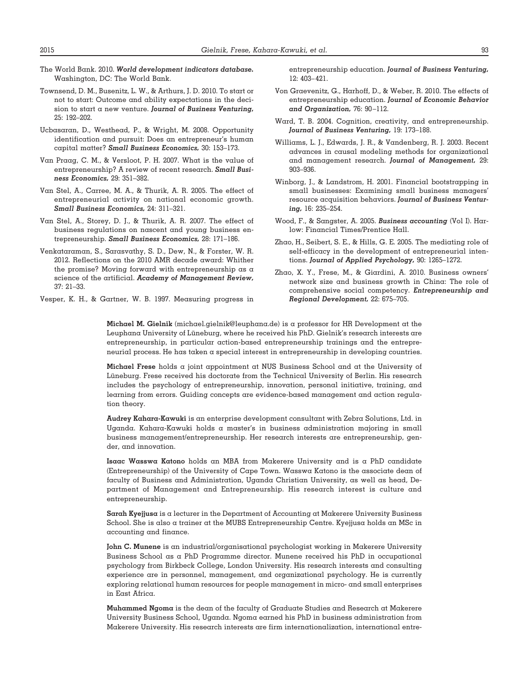- The World Bank. 2010. *World development indicators database.* Washington, DC: The World Bank.
- Townsend, D. M., Busenitz, L. W., & Arthurs, J. D. 2010. To start or not to start: Outcome and ability expectations in the decision to start a new venture. *Journal of Business Venturing,* 25: 192–202.
- Ucbasaran, D., Westhead, P., & Wright, M. 2008. Opportunity identification and pursuit: Does an entrepreneur's human capital matter? *Small Business Economics,* 30: 153–173.
- Van Praag, C. M., & Versloot, P. H. 2007. What is the value of entrepreneurship? A review of recent research. *Small Business Economics,* 29: 351–382.
- Van Stel, A., Carree, M. A., & Thurik, A. R. 2005. The effect of entrepreneurial activity on national economic growth. *Small Business Economics,* 24: 311–321.
- Van Stel, A., Storey, D. J., & Thurik, A. R. 2007. The effect of business regulations on nascent and young business entrepreneurship. *Small Business Economics,* 28: 171–186.
- Venkataraman, S., Sarasvathy, S. D., Dew, N., & Forster, W. R. 2012. Reflections on the 2010 AMR decade award: Whither the promise? Moving forward with entrepreneurship as a science of the artificial. *Academy of Management Review,* 37: 21–33.

Vesper, K. H., & Gartner, W. B. 1997. Measuring progress in

entrepreneurship education. *Journal of Business Venturing,* 12: 403– 421.

- Von Graevenitz, G., Harhoff, D., & Weber, R. 2010. The effects of entrepreneurship education. *Journal of Economic Behavior and Organization,* 76: 90 –112.
- Ward, T. B. 2004. Cognition, creativity, and entrepreneurship. *Journal of Business Venturing,* 19: 173–188.
- Williams, L. J., Edwards, J. R., & Vandenberg, R. J. 2003. Recent advances in causal modeling methods for organizational and management research. *Journal of Management,* 29: 903–936.
- Winborg, J., & Landstrom, H. 2001. Financial bootstrapping in small businesses: Examining small business managers' resource acquisition behaviors. *Journal of Business Venturing,* 16: 235–254.
- Wood, F., & Sangster, A. 2005. *Business accounting* (Vol I). Harlow: Financial Times/Prentice Hall.
- Zhao, H., Seibert, S. E., & Hills, G. E. 2005. The mediating role of self-efficacy in the development of entrepreneurial intentions. *Journal of Applied Psychology,* 90: 1265–1272.
- Zhao, X. Y., Frese, M., & Giardini, A. 2010. Business owners' network size and business growth in China: The role of comprehensive social competency. *Entrepreneurship and Regional Development,* 22: 675–705.

**Michael M. Gielnik** (michael.gielnik@leuphana.de) is a professor for HR Development at the Leuphana University of Lüneburg, where he received his PhD. Gielnik's research interests are entrepreneurship, in particular action-based entrepreneurship trainings and the entrepreneurial process. He has taken a special interest in entrepreneurship in developing countries.

**Michael Frese** holds a joint appointment at NUS Business School and at the University of Lüneburg. Frese received his doctorate from the Technical University of Berlin. His research includes the psychology of entrepreneurship, innovation, personal initiative, training, and learning from errors. Guiding concepts are evidence-based management and action regulation theory.

**Audrey Kahara-Kawuki** is an enterprise development consultant with Zebra Solutions, Ltd. in Uganda. Kahara-Kawuki holds a master's in business administration majoring in small business management/entrepreneurship. Her research interests are entrepreneurship, gender, and innovation.

**Isaac Wasswa Katono** holds an MBA from Makerere University and is a PhD candidate (Entrepreneurship) of the University of Cape Town. Wasswa Katono is the associate dean of faculty of Business and Administration, Uganda Christian University, as well as head, Department of Management and Entrepreneurship. His research interest is culture and entrepreneurship.

**Sarah Kyejjusa** is a lecturer in the Department of Accounting at Makerere University Business School. She is also a trainer at the MUBS Entrepreneurship Centre. Kyejjusa holds an MSc in accounting and finance.

**John C. Munene** is an industrial/organisational psychologist working in Makerere University Business School as a PhD Programme director. Munene received his PhD in occupational psychology from Birkbeck College, London University. His research interests and consulting experience are in personnel, management, and organizational psychology. He is currently exploring relational human resources for people management in micro- and small enterprises in East Africa.

**Muhammed Ngoma** is the dean of the faculty of Graduate Studies and Research at Makerere University Business School, Uganda. Ngoma earned his PhD in business administration from Makerere University. His research interests are firm internationalization, international entre-